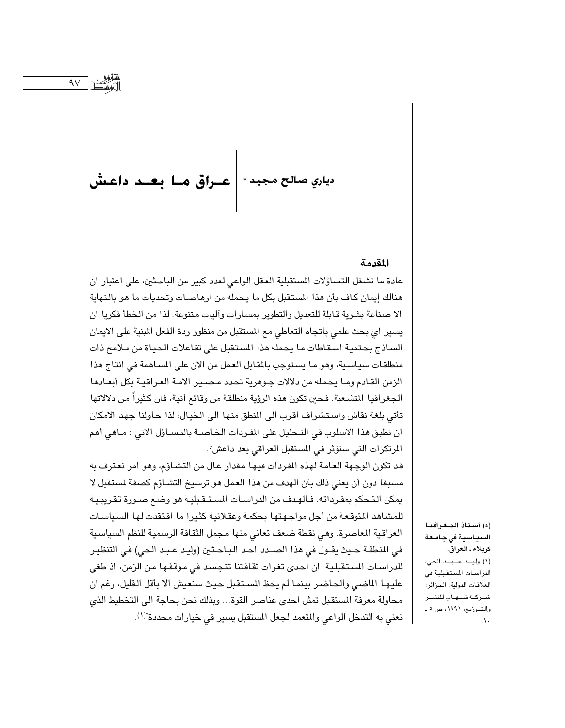# دياري صالح مجيد \* | عــراق هــا بـعــد داعـشْ

#### المقدمة

عادة ما تشغل التساؤلات المستقبلية العقل الواعي لعدد كبير من الباحثين، على اعتبار ان هنالك إيمان كاف بأن هذا المستقبل بكل ما يحمله من ارهاصات وتحديات ما هو بالنهاية الا صناعة بشرية قابلة للتعديل والتطوير بمسارات وأليات متنوعة. لذا من الخطأ فكريا ان يسير اي بحث علمي باتجاه التعاطي مع المستقبل من منظور ردة الفعل المبنية على الايمان الساذج بحتمية اسقاطات ما يحمله هذا المستقبل على تفاعلات الحياة من ملامح ذات منطلقات سياسية، وهو ما يستوجب بالمقابل العمل من الآن على المساهمة في انتاج هذا الزمن القادم وما يحمله من دلالات جوهرية تحدد مصير الامة العراقية بكل أبعادها الجغرافيا المتشعبة. فحين تكون هذه الرؤية منطلقة من وقائع أنية، فإن كثيراً من دلالاتها تأتي بلغة نقاش واستشراف اقرب الى المنطق منها الى الخيال، لذا حاولنا جهد الامكان ان نطبق هذا الاسلوب في التـحليل على المفردات الخـاصـة بالتـسـاؤل الاتي : مـاهي أهم المرتكزات التي ستؤثر في المستقبل العراقي بعد داعش؟.

قد تكون الوجهة العامة لهذه المفردات فيها مقدار عال من التشـاؤم، وهو امر نعترف به مسبقا دون أن يعني ذلك بأن الهدف من هذا العمل هو ترسيخ التشاؤم كصفة لستقبل لا يمكن التـحكم بمفـرداته. فـالهـدف من الدراسـات المسـتـقـبليـة هو وضـع صـورة تقـريبـيـة للمشاهد المتوقعة من أجل مواجهتها بحكمة وعقلانية كثيرا ما افتقدت لها السياسات العراقية الماصرة. وهي نقطة ضعف تعاني منها مجمل الثقافة الرسمية للنظم السياسية في النطقة حيث يقـول في هذا الصـدد احـد البـاحـثين (وليـد عـبـد الحي) في التنظيـر للدراسات المستقبلية "ان احدى ثغرات ثقافتنا تتجسد في موقفها من الزمن، اذ طغى عليها الماضي والحاضر بينما لم يحظ المستقبل حيث سنعيش الا بأقل القليل، رغم ان محاولة معرفة المستقبل تمثل احدى عناصر القوة... وبذلك نحن بحاجة الى التخطيط الذي نعني به التدخل الواعي والمتعمد لجعل المستقبل يسير في خيارات محددة"(١).

(\*) أستاذ الجغرافيا السياسية فى جامعة كربلاء ـ العراق. (١) وليد عبد الحي، الدراسات المستقبلية في العلاقات الدولية، الجزائر: شىركىة شىهاب للنشىر والتوزيع، ١٩٩١، ص ٥ ـ  $\Delta$ .

 $\overline{9V}$  i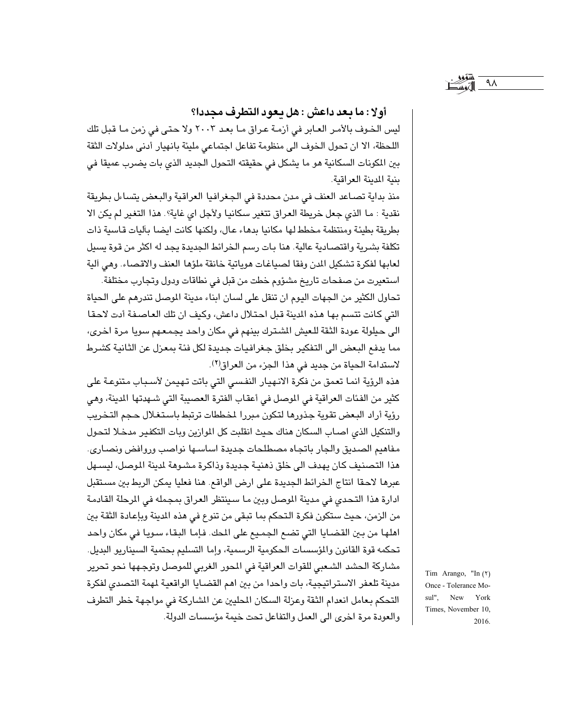## أولا: ما يعد داعش : هل يعود التطرف مجددا؟

ليس الخوف بالأمر العابر في أزمـة عراق مـا بعـد ٢٠٠٣ ولا حتى في زمن مـا قبل تلك اللحظة، الا ان تحول الخوف الى منظومة تفاعل اجتماعي مليئة بانهيار أدنى مدلولات الثقة بين المكونات السكانية هو ما يشكل في حقيقته التحول الجديد الذي بات يضرب عميقا في بنية المدينة العراقية.

منذ بداية تصاعد العنف في مدن محددة في الجغرافيا العراقية والبعض يتساءل بطريقة نقدية : ما الذي جعل خريطة العراق تتغير سكانيا ولأجل اي غاية؟. هذا التغير لم يكن الا بطريقة بطيئة ومنتظمة مخطط لها مكانيا بدهاء عال، ولكنها كانت ايضا بآليات قاسية ذات تكلفة بشرية واقتصادية عالية. هنا بات رسم الخرائط الجديدة يجد له اكثر من قوة يسيل لعابها لفكرة تشكيل الدن وفقا لصياغات هوياتية خانقة ملؤها العنف والاقصاء. وهي آلية

استعيرت من صفحات تاريخ مشؤوم خطت من قبل في نطاقات ودول وتجارب مختلفة. تحاول الكثير من الجهات اليوم ان تنقل على لسان ابناء مدينة الموصل تندرهم على الحياة التي كانت تتسم بها هذه المدينة قبل احتلال داعش، وكيف ان تلك العاصفة أدت لاحقا الى حيلولة عودة الثقة للعيش الشترك بينهم في مكان واحد يجمعهم سويا مرة اخرى، مما يدفع البعض الى التفكير بخلق جغرافيات جديدة لكل فئة بمعزل عن الثانية كشرط لاستدامة الحياة من جديد في هذا الجزء من العراق(٢).

هذه الرؤية انما تعمق من فكرة الانهيار النفسى التي باتت تهيمن لأسـباب متنوعة على كثير من الفئات العراقية في الموصل في أعقاب الفترة العصيبة التي شـهدتها المدينة، وهي رؤية أراد البعض تقوية جذورها لتكون مبررا لمخططات ترتبط باستغلال حجم التخريب والتنكيل الذى اصاب السكان هناك حيث انقلبت كل الموازين وبات التكفير مدخلا لتحول مفاهيم الصديق والجار باتجاه مصطلحات جديدة اساسـها نواصب وروافض ونصـارى. هذا التصنيف كان يهدف الى خلق ذهنية جديدة وذاكرة مشبوهة لدينة اللوصل، ليسبهل عبرها لاحقا انتاج الخرائط الجديدة على ارض الواقع. هنا فعليا يمكن الربط بين مستقبل ادارة هذا التحدي في مدينة الموصل وبين ما سينتظر العراق بمجمله في المرحلة القادمة من الزمن، حيث ستكون فكرة التحكم بما تبقى من تنوع في هذه المدينة وبإعادة الثقة بين اهلها من بين القضـايا التي تضـع الـجمـيع على المحك. فـإمـا البقـاء سـويـا في مكان واحـد تحكمه قوة القانون والمؤسسات الحكومية الرسمية، وإما التسليم بحتمية السيناريو البديل. مشاركة الحشد الشعبي للقوات العراقية في المحور الغربي للموصل وتوجهها نحو تحرير مدينة تلعفر الاستراتيجية، بات واحدا من بين اهم القضايا الواقعية لمهمة التصدى لفكرة التحكم بعامل انعدام الثقة وعزلة السكان المحليين عن المشاركة في مواجهة خطر التطرف والعودة مرة اخرى الى العمل والتفاعل تحت خيمة مؤسسات الدولة.

Tim Arango, "In (٢) Once - Tolerance Mosul". New York Times, November 10, 2016.

۹ $\wedge$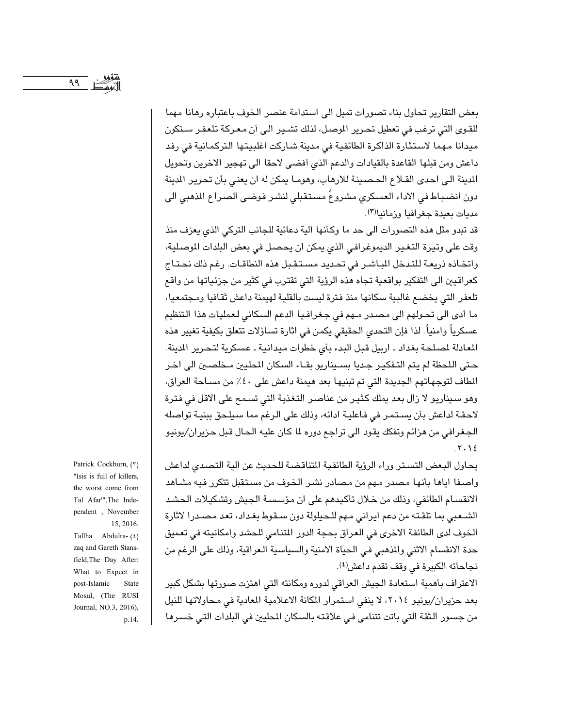بعض التقارير تحاول بناء تصورات تميل الى استدامة عنصر الخوف باعتباره رهانا مهما للقوى التي ترغب في تعطيل تحرير الموصل، لذلك تشـير الـي أن مـعـركة تلعفـر سـتكون ميدانا مهما لاستثارة الذاكرة الطائفية في مدينة شاركت اغلبيتها التركمانية في رفد داعش ومن قبلها القاعدة بالقيادات والدعم الذي أفضى لاحقا الى تهجير الاخرين وتحويل المدينة الى احدى القلاع الحصينة للارهاب، وهومـا يمكن له ان يعني بأن تحرير المدينة دون انضباط في الاداء العسكري مشروعٌ مستقبلي لنشر فوضى الصراع الذهبي الى مديات بعيدة حغرافيا وزمانيا(٣).

قد تبدو مثل هذه التصورات الى حد ما وكأنها آلية دعائية للجانب التركي الذي يعزف منذ وقت على وتيرة التغير الديموغرافي الذي يمكن ان يحصل في بعض البلدات الموصلية، واتخاذه ذريعة للتدخل الباشر في تحديد مستقبل هذه النطاقات. رغم ذلك نحتاج كعراقيين الى التفكير بواقعية تجاه هذه الرؤية التي تقترب في كثير من جزئياتها من واقع تلعفر التي يخضع غالبية سكانها منذ فترة ليست بالقلية لهيمنة داعش ثقافيا ومجتمعيا، ما أدى الى تحولهم الى مصدر مـهم فى جغرافيا الدعم السكانى لعمليات هذا التنظيم عسكرياً وامنياً. لذا فإن التحدي الحقيقي يكمن في اثارة تساؤلات تتعلق بكيفية تغيير هذه المعادلة لمصلحة بغداد ـ اربيل قبل البدء بأى خطوات ميدانية ـ عسكرية لتحرير المدينة. حتى اللحظة لم يتم التـفكيـر جـديا بسـيناريو بقـاء السكان المحليين مـخلصـين الى اخـر المطاف لتوجهاتهم الجديدة التي تم تبنيها بعد هيمنة داعش على ٤٠٪ من مسـاحة العراق، وهو سيناريو لا زال بعد يملك كثير من عناصر التغذية التي تسمح على الاقل في فترة لاحقة لداعش بأن يستمر في فاعلية ادائه، وذلك على الرغم مما سيلحق ببنية تواصله الجغرافي من هزائم وتفكك يقود الى تراجع دوره لما كان عليه الحال قبل حزيران/يونيو  $.7.12$ 

يحاول البعض التستر وراء الرؤية الطائفية المتناقضة للحديث عن آلية التصدي لداعش واصــفا اياهـا بأنهـا مصـدر مـهم من مصـادر نشـر الـخـوف من مسـتـقبل تتكرر فـيـه مشـاهد الانقسام الطائفي، وذلك من خلال تأكيدهم على ان مؤسسة الجيش وتشكيلات الحشد الشعبي بما تلقته من دعم ايراني مهم للحيلولة دون سـقوط بغداد، تعد مصـدرا لاثارة الخوف لدى الطائفة الاخرى في العراق بحجة الدور المتنامي للحشد وامكانيته في تعميق حدة الانقسام الاثني والذهبي في الحياة الامنية والسياسية العراقية، وذلك على الرغم من نجاحاته الكبيرة في وقف تقدم داعش<sup>(٤)</sup>.

الاعتراف بأهمية استعادة الجيش العراقي لدوره ومكانته التي اهتزت صورتها بشكل كبير بعد حزيران/يونيو ٢٠١٤، لا ينفي استمرار المكانة الاعلامية المعادية في محاولاتها للنيل من جسور الثقة التي باتت تتنامى في علاقته بالسكان المطيين في البلدات التي خسرها

Patrick Cockburn, (٣) "Isis is full of killers, the worst come from Tal Afar"', The Independent, November 15, 2016.

Tallha Abdulra-(٤) zaq and Gareth Stansfield, The Day After: What to Expect in post-Islamic State Mosul, (The RUSI Journal, NO.3, 2016), p.14.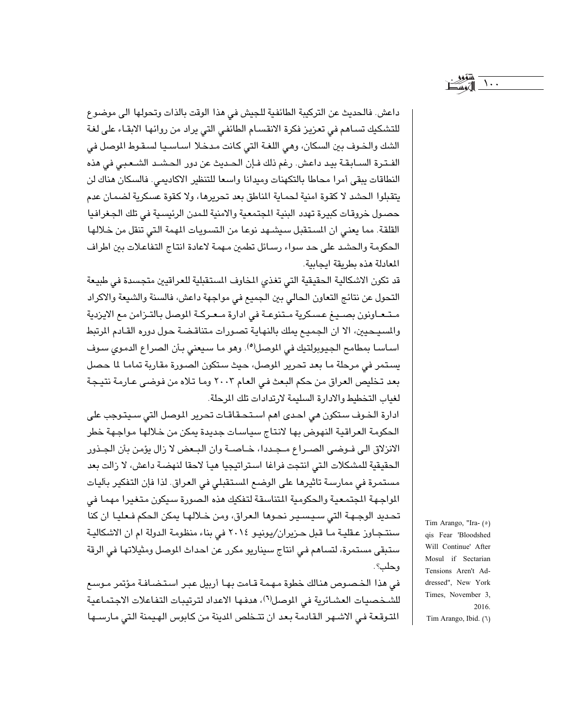داعش. فالحديث عن التركيبة الطائفية للجيش في هذا الوقت بالذات وتحولها الى موضوع للتشكيك تساهم في تعزيز فكرة الانقسام الطائفي التي يراد من روائها الابقاء على لغة الشك والخـوف بين السكان، وهي اللغـة التي كـانت مـدخـلا اسـاسـيـا لسـقـوط الموصل في الفـتـرة السـابـقـة بيـد داعش. رغم ذلك فـإن الـصديث عن دور الـصشـد الشـعـبـى فى هذه النطاقات يبقى أمرا محاطا بالتكهنات وميدانا واسعا للتنظير الاكاديمي. فالسكان هناك لن يتقبلوا الحشد لا كقوة امنية لحماية المناطق بعد تحريرها، ولا كقوة عسكرية لضمان عدم حصـول خروقـات كبيرة تهدد البنية المجتمعية والامنية للمدن الرئيسـية في تلك الجـغرافيا القلقة. مما يعني ان المستقبل سيشهد نوعا من التسويات المهمة التي تنقل من خلالها الحكومة والحشد على حد سواء رسائل تطمين مهمة لاعادة انتاج التفاعلات بين اطراف المعادلة هذه بطريقة ايجابية.

قد تكون الاشكالية الحقيقية التي تغذي المخاوف المستقبلية للعراقيين متجسدة في طبيعة التحول عن نتائج التعاون الحالي بين الجميع في مواجهة داعش، فالسنة والشيعة والاكراد متعاونون بصيغ عسكرية متنوعة في ادارة معركة الموصل بالتزامن مع الايزدية والمسيحيين، الا ان الجميع يملك بالنهاية تصورات متناقضة حول دوره القادم المرتبط اساسا بمطامح الجيوبولتيك في الموصل<sup>(٥)</sup>. وهو ما سيعني بأن الصراع الدموي سوف يستمر في مرحلة ما بعد تحرير الموصل، حيث ستكون الصورة مقاربة تماما لما حصل بعد تخليص العراق من حكم البعث في العام ٢٠٠٣ وما تلاه من فوضى عـارمـة نتيـجـة لغياب التخطيط والادارة السليمة لارتدادات تلك المرحلة.

ادارة الخـوف سـتكون هي احـدي اهـم اسـتـحـقـاقـات تحرير الـوصل التي سـيتـوجب على الحكومة العراقية النهوض بها لانتاج سياسات جديدة يمكن من خلالها مواجهة خطر الانزلاق الى فـوضـى الصـراع مـجـددا، خـاصـة وان البـعض لا زال يؤمن بأن الجـذور الحقيقية للمشكلات التي انتجت فراغا استراتيجيا هيأ لاحقا لنهضة داعش، لا زالت بعد مستمرة في ممارسة تاثيرها على الوضع المستقبلي في العراق. لذا فإن التفكير بآليات اللواجهة الجتمعية والحكومية المتناسقة لتفكيك هذه الصورة سيكون متغيرا مهما فى تحديد الوجـهـة التي سـيسـيـر نحـوهـا الـعراق، ومن خـلالهـا يمكن الحكم فـعليـا ان كنا سنتجـاوز عـقليـة مـا قبل حـزيران/يونيـو ٢٠١٤ في بناء منظومـة الـدولة ام ان الاشكاليـة ستبقى مستمرة، لتساهم في انتاج سيناريو مكرر عن احداث الموصل ومثيلاتها في الرقة وحلب؟.

في هذا الخصوص هنالك خطوة مهمة قامت بها أربيل عبر استضافة مؤتمر موسع للشخصيات العشائرية في الموصل(٦)، هدفها الاعداد لترتيبات التفاعلات الاجتماعية المتوقعة في الاشهر القادمة بعد ان تتخلص المدينة من كابوس الهيمنة التي مارسـها

Tim Arango, "Ira- (°) qis Fear 'Bloodshed Will Continue' After Mosul if Sectarian Tensions Aren't Addressed", New York Times, November 3, 2016. Tim Arango, Ibid. (1)

 $\Delta$ ..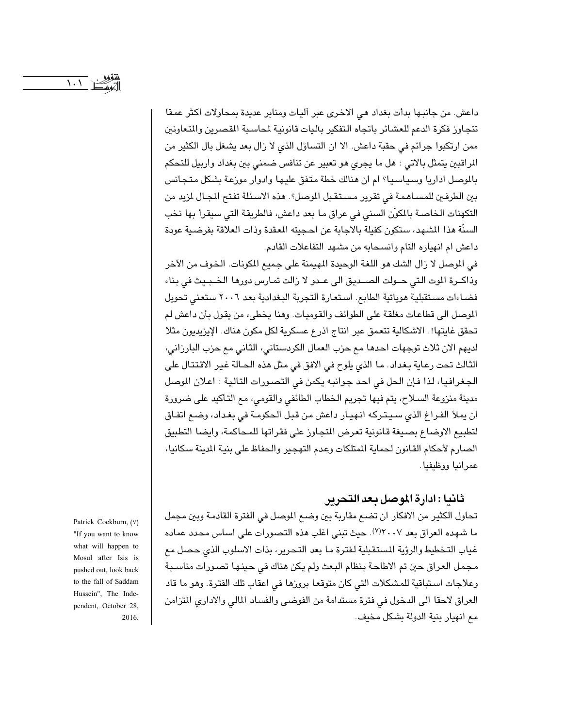داعش. من جانبها بدأت بغداد هي الاخرى عبر اليات ومنابر عديدة بمحاولات اكثر عمقا تتجاوز فكرة الدعم للعشائر باتجاه التفكير بآليات قانونية لحاسبة القصرين والتعاونين ممن ارتكبوا جرائم في حقبة داعش. الا ان التساؤل الذي لا زال بعد يشغل بال الكثير من المراقبين يتمثل بالاتي : هل ما يجري هو تعبير عن تنافس ضمني بين بغداد واربيل للتحكم بالموصل اداريا وسياسيا؟ ام ان هنالك خطة متفق عليها وادوار موزعة بشكل متجانس بين الطرفين للمسـاهـمة في تقرير مسـتقـبل الموصل؟. هذه الاسـئلة تفتح المجـال لمزيد من التكهنات الخاصة بالمكوّن السني في عراق ما بعد داعش، فالطريقة التي سيقرأ بها نخب السنَّة هذا الشهد، ستكون كفيلة بالاجابة عن احجيته المعقدة وذات العلاقة بفرضية عودة داعش ام انهياره التام وانسحابه من مشهد التفاعلات القادم.

في الموصل لا زال الشك هو اللغة الوحيدة المهيمنة على جميع المكونات. الخوف من الآخر وذاكـرة الموت التي حـولت الصـديق الى عـدو لا زالت تمارس دورها الخـبـيث في بناء فضاءات مستقبلية هوياتية الطابع. استعارة التجربة البغدادية بعد ٢٠٠٦ ستعنى تحويل الموصل الى قطاعات مغلقة على الطوائف والقوميات. وهنا يخطىء من يقول بأن داعش لم تحقق غايتها!. الاشكالية تتعمق عبر انتاج اذرع عسكرية لكل مكون هناك. الإيزيديون مثلا لديهم الان ثلاث توجهات احدها مع حزب العمال الكردستاني، الثاني مع حزب البارزاني، الثالث تحت رعاية بغداد. ما الذي يلوح في الافق في مثل هذه الحـالة غير الاقتتال على الجغرافيا، لذا فإن الحل في احد جوانبه يكمن في التصورات التالية : اعلان الموصل مدينة منزوعة السلاح، يتم فيها تجريم الخطاب الطائفي والقومي، مع التأكيد على ضرورة ان يملأ الفراغ الذي سيتركه انهيار داعش من قبل الحكومة في بغداد، وضع اتفاق لتطبيع الاوضاع بصيغة قانونية تعرض المتجاوز على فقراتها للمحاكمة، وايضا التطبيق الصارم لأحكام القانون لحماية المتلكات وعدم التهجير والحفاظ على بنية الدينة سكانيا، عمرانيا ووظيفيا.

# ثانيا : ادارة الموصل بعد التحرير

تحاول الكثير من الافكار ان تضع مقاربة بين وضع الموصل في الفترة القادمة وبين مجمل ما شهده العراق بعد ٢٠٠٧"). حيث تبنى اغلب هذه التصورات على اساس محدد عماده غياب التخطيط والرؤية المستقبلية لفترة ما بعد التحرير، بذات الاسلوب الذي حصل مع مجمل العراق حين تم الاطاحة بنظام البعث ولم يكن هناك في حينها تصورات مناسبة وعلاجات استباقية للمشكلات التي كان متوقعا بروزها في اعقاب تلك الفترة. وهو ما قاد العراق لاحقا الى الدخول في فترة مستدامة من الفوضى والفساد المالي والادارى المتزامن مع انهيار بنية الدولة بشكل مخيف.

Patrick Cockburn, (V) "If you want to know what will happen to Mosul after Isis is pushed out, look back to the fall of Saddam Hussein", The Independent, October 28, 2016.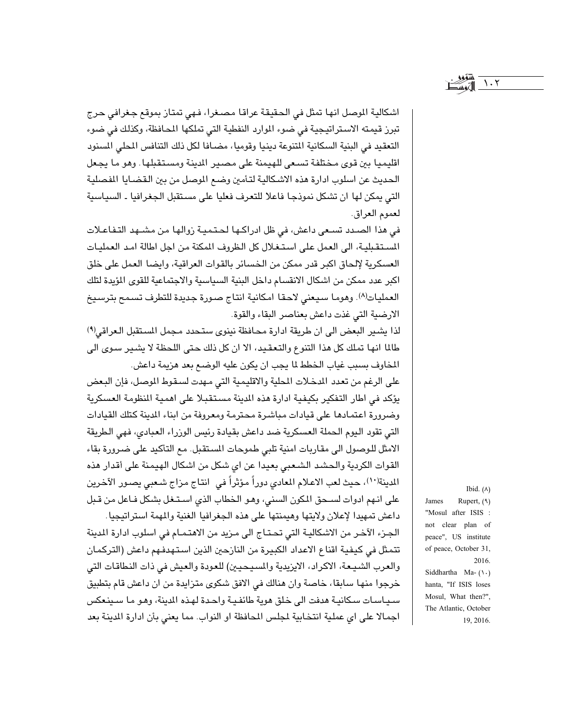$\lambda \cdot \lambda$ 

اشكالية الموصل انها تمثل في الحقيقة عراقا مصغرا، فهي تمتاز بموقع جغرافي حرج تبرز قيمته الاستراتيجية في ضوء الموارد النفطية التي تملكها المحافظة، وكذلك في ضوء التعقيد في البنية السكانية المتنوعة دينيا وقوميا، مضـافا لكل ذلك التنافس المحلي المسنود اقليميا بين قوى مختلفة تسعى للهيمنة على مصير الدينة ومستقبلها. وهو ما يجعل الحديث عن اسلوب ادارة هذه الاشكالية لتأمين وضع الموصل من بين القضايا المفصلية التي يمكن لها ان تشكل نموذجا فاعلا للتعرف فعليا على مستقبل الجغرافيا ـ السياسية لعموم العراق.

في هذا الصـدد تسـعي داعش، في ظل ادراكـها لـحـتـمـيـة زوالهـا مـن مشـهد التـفـاعـلات المستقبلية، الى العمل على استغلال كل الظروف المكنة من اجل اطالة امد العمليات العسكرية لإلحاق اكبر قدر ممكن من الخسائر بالقوات العراقية، وايضا العمل على خلق اكبر عدد ممكن من اشكال الانقسام داخل البنية السياسية والاجتماعية للقوى المؤيدة لتلك العمليات(٨). وهوما سيعنى لاحقا امكانية انتاج صورة جديدة للتطرف تسمح بترسيخ الارضية التي غذت داعش بعناصر البقاء والقوة.

لذا يشير البعض الى ان طريقة ادارة محافظة نينوي ستحدد مجمل المستقبل العراقي<sup>(٩)</sup> طالما انها تملك كل هذا التنوع والتعقيد، الا ان كل ذلك حتى اللحظة لا يشير سوى الى المخاوف بسبب غياب الخطط لما يجب ان يكون عليه الوضع بعد هزيمة داعش.

على الرغم من تعدد المدخلات المحلية والاقليمية التي مهدت لسـقوط الموصل، فإن البـعض يؤكد في اطار التفكير بكيفية ادارة هذه الدينة مستقبلا على اهمية المنظومة العسكرية وضرورة اعتمادها على قيادات مباشرة محترمة ومعروفة من ابناء الدينة كتلك القيادات التي تقود اليوم الحملة العسكرية ضد داعش بقيادة رئيس الوزراء العبادي، فهي الطريقة الامثل للوصول الى مقاربات امنية تلبى طموحات المستقبل. مع التأكيد على ضرورة بقاء القوات الكردية والحشد الشعبي بعيدا عن اي شكل من اشكال الهيمنة على أقدار هذه المدينة(١٠)، حيث لعب الاعلام المعادي دوراً مؤثراً في انتاج مزاج شعبي يصور الآخرين على انهم ادوات لسحق المكون السني، وهو الخطاب الذي استغل بشكل فاعل من قبل

داعش تمهيدا لإعلان ولايتها وهيمنتها على هذه الجغرافيا الغنية والمهمة استراتيجيا. الجزء الآخر من الاشكالية التي تحتـاج الى مـزيد من الاهتمـام في اسلوب ادارة المدينة تتمثل في كيفية اقناع الاعداد الكبيرة من النازحين الذين استهدفهم داعش (التركمان والعرب الشيعة، الاكراد، الايزيدية والمسيحيين) للعودة والعيش في ذات النطاقات التي خرجوا منها سابقا، خاصة وان هنالك في الافق شكوى متزايدة من ان داعش قام بتطبيق سياسات سكانية هدفت الى خلق هوية طائفية واحدة لهذه الدينة، وهو ما سينعكس اجمالا على اي عملية انتخابية لمجلس المحافظة او النواب. مما يعني بأن ادارة المدينة بعد

Ibid.  $(A)$ Rupert, (٩) James "Mosul after ISIS : not clear plan of peace", US institute of peace, October 31, 2016. Siddhartha Ma- $(\backslash \cdot)$ hanta, "If ISIS loses Mosul, What then?", The Atlantic, October 19, 2016.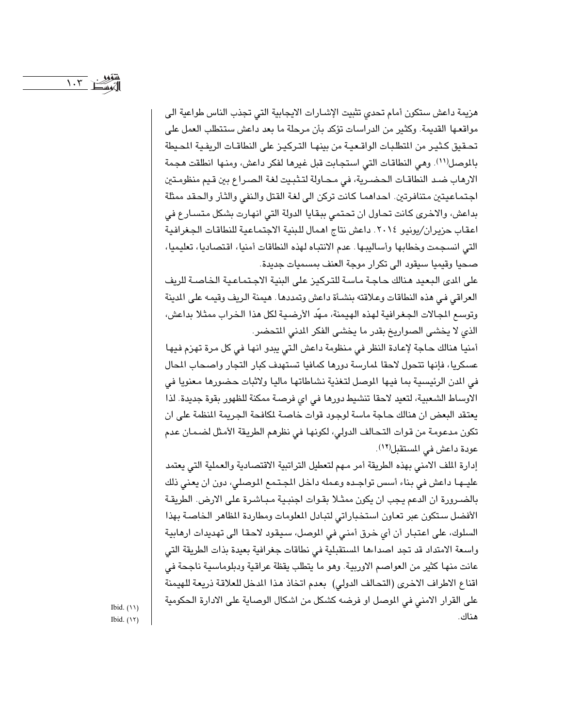هزيمة داعش ستكون أمام تحدى تثبيت الإشـارات الايجابية التي تجذب الناس طواعية الى مواقعها القديمة. وكثير من الدراسات تؤكد بأن مرحلة ما بعد داعش ستتطلب العمل على تحقيق كثير من المتطلبات الواقـعيـة من بينهـا التـركيـز على النطاقـات الريفـيـة المحـيطة بالموصل(١١). وهي النطاقات التي استجابت قبل غيرها لفكر داعش، ومنها انطلقت هجمة الارهاب ضد النطاقـات الحضـرية، في محـاولة لتـثبـيت لغة الـصـراع بين قـيم منظومـتين اجتماعيتين متنافرتين. احداهما كانت تركن الى لغة القتل والنفى والثأر والحقد ممثلة بداعش، والاخرى كانت تحاول ان تحتمى ببقايا الدولة التي انهارت بشكل متسارع في اعقاب حزيران/يونيو ٢٠١٤. داعش نتاج اهمال للبنية الاجتماعية للنطاقات الجغرافية التي انسجمت وخطابها وأساليبها. عدم الانتباه لهذه النطاقات أمنيا، اقتصاديا، تعليميا، صحيا وقيميا سيقود الى تكرار موجة العنف بمسميات جديدة.

على الدى البعيد هنالك حاجة ماسة للتركيز على البنية الاجتماعية الخاصـة للريف العراقي في هذه النطاقات وعلاقته بنشأة داعش وتمددها . هيمنة الريف وقيمه على المدينة وتوسع الجالات الجغرافية لهذه الهيمنة، مهَّد الأرضية لكل هذا الخراب ممثلا بداعش، الذي لا يخشى الصواريخ بقدر ما يخشى الفكر المدنى المتحضر.

أمنيا هنالك حاجة لإعادة النظر في منظومة داعش التي يبدو انها في كل مرة تهزم فيها عسكريا، فإنها تتحول لاحقا لمارسة دورها كمافيا تستهدف كبار التجار واصحاب المال في الدن الرئيسية بما فيها الموصل لتغذية نشاطاتها ماليا ولاثبات حضورها معنويا في الاوساط الشعبية، لتعيد لاحقا تنشيط دورها في اي فرصـة ممكنة للظهور بقوة جديدة. لذا يعتقد البعض ان هنالك حاجة ماسة لوجود قوات خاصة لكافحة الجريمة النظمة على ان تكون مدعومة من قوات التحالف الدولي، لكونها في نظرهم الطريقة الأمثل لضمان عدم عودة داعش في المستقبل(١٢).

إدارة الملف الامنى بهذه الطريقة أمر مهم لتعطيل التراتبية الاقتصادية والعملية التي يعتمد عليها داعش في بناء أسس تواجده وعمله داخل المجتمع الموصلي، دون ان يعني ذلك بالضـرورة ان الدعم يجب ان يكون ممثـلا بقـوات اجنبـية مـبـاشـرة على الارض. الطريقـة الأفضل ستكون عبر تعاون استخباراتي لتبادل الملومات ومطاردة المظاهر الخاصة بهذا السلوك، على اعتبار أن أي خرق أمنى في الموصل، سيقود لاحقا الى تهديدات ارهابية واسعة الامتداد قد تجد اصداءها المستقبلية في نطاقات جغرافية بعيدة بذات الطريقة التي عانت منها كثير من العواصم الاوربية. وهو ما يتطلب يقظة عراقية ودبلوماسية ناجحة في اقناع الاطراف الاخرى (التحالف الدولى) بعدم اتخاذ هذا المدخل للعلاقة ذريعة للهيمنة على القرار الامني في الموصل او فرضه كشكل من اشكال الوصاية على الادارة الحكومية هناك.

Ibid.  $(11)$ Ibid.  $(17)$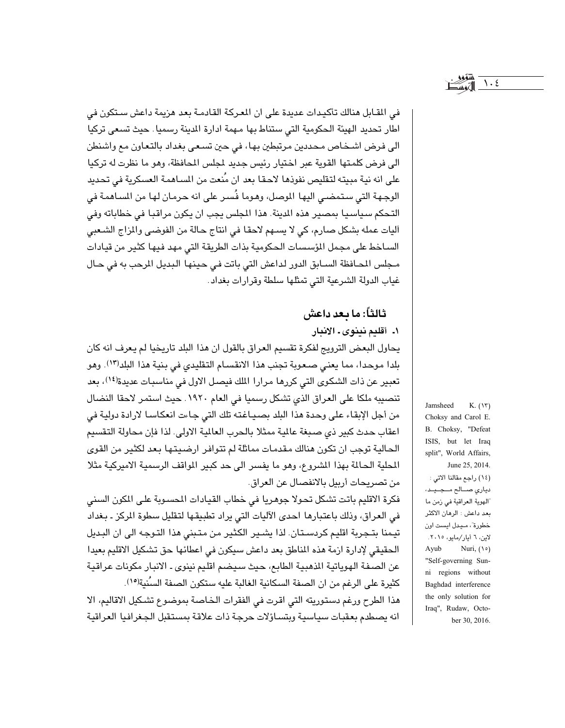في المقابل هنالك تأكيدات عديدة على ان المعركة القادمة بعد هزيمة داعش ستكون في اطار تحديد الهيئة الحكومية التي ستناط بها مهمة ادارة الدينة رسميا. حيث تسعى تركيا الى فرض اشخاص محددين مرتبطين بها، في حين تسعى بغداد بالتعاون مع واشنطن الى فرض كلمتها القوية عبر اختيار رئيس جديد لجلس المحافظة، وهو ما نظرت له تركيا على انه نية مبيته لتقليص نفوذها لاحقا بعد ان مُنعت من المساهمة العسكرية في تحديد الوجـهـة التي سـتمضـي اليهـا الموصل، وهـوما فُسـر على انه حـرمـان لـهـا من السـاهمـة في التحكم سياسيا بمصير هذه الدينة. هذا الجلس يجب ان يكون مراقبا في خطاباته وفي اَليات عمله بشكل صارم، كي لا يسهم لاحقا في انتاج حالة من الفوضى والمزاج الشعبي السـاخط على مجمل المؤسسات الحكومية بذات الطريقة التي مهد فيها كثير من قيادات مجلس المحافظة السـابق الدور لداعش التي باتت في حينها البديل المرحب به في حـال غياب الدولة الشرعية التي تمثلها سلطة وقرارات بغداد.

# ثالثاً: ما بعد داعش

١. أقليم نينوي ـ الانبار

يحاول البعض الترويج لفكرة تقسيم العراق بالقول ان هذا البلد تاريخيا لم يعرف انه كان بلدا موحدا، مما يعني صعوبة تجنب هذا الانقسام التقليدي في بنية هذا البلد(١٣). وهو تعبير عن ذات الشكوى التي كررها مرارا الملك فيصل الاول في مناسبات عديدة(١٤)، بعد تنصيبه ملكا على العراق الذي تشكل رسميا في العام ١٩٢٠. حيث استمر لاحقا النضال من أجل الإبقاء على وحدة هذا البلد بصياغته تلك التي جاءت انعكاسا لارادة دولية في اعقاب حدث كبير ذي صبغة عالية ممثلا بالحرب العالية الاولى. لذا فإن محاولة التقسيم الحالية توجب ان تكون هنالك مقدمات مماثلة لم تتوافر ارضيتها بعد لكثير من القوى المحلية الحالمة بهذا الشروع، وهو ما يفسر الى حد كبير اللواقف الرسمية الاميركية مثلا من تصريحات أربيل بالانفصال عن العراق.

فكرة الاقليم باتت تشكل تحولا جوهريا في خطاب القيادات المصىوبة على المكون السنى في العراق، وذلك باعتبارها احدى الآليات التي يراد تطبيقها لتقليل سطوة المركز ـ بغداد تيمنا بتـجربة اقليم كردسـتان. لذا يشـير الكثير من متبني هذا التـوجه الى ان البـديل الحقيقي لإدارة ازمة هذه المناطق بعد داعش سيكون في اعطائها حق تشكيل الاقليم بعيدا عن الصفة الهوياتية الذهبية الطابع، حيث سيضم اقليم نينوى ـ الانبار مكونات عراقية كثيرة على الرغم من ان الصفة السكانية الغالبة عليه ستكون الصفة السُنية(١٥).

هذا الطرح ورغم دستوريته التي اقرت في الفقرات الخاصة بموضوع تشكيل الاقاليم، الا انه يصطدم بعقبات سياسية ويتساؤلات حرجة ذات علاقة بمستقبل الجغرافيا العراقية

Jamsheed  $K. (Y)$ Choksy and Carol E. B. Choksy, "Defeat ISIS, but let Iraq split", World Affairs, June 25, 2014. (١٤) راجع مقالنا الاتي : دياري صالح مبيد، "الهوية العراقية في زمن ما بعد داعش : الرهان الاكثر خطورة"، ميدل ايست اون لاين، ٦ أيار/مايو، ٢٠١٥. Ayub Nuri,  $(1°)$ "Self-governing Sunni regions without Baghdad interference the only solution for

Iraq", Rudaw, Octo-

ber 30, 2016.

 $\bigwedge$  .  $\xi$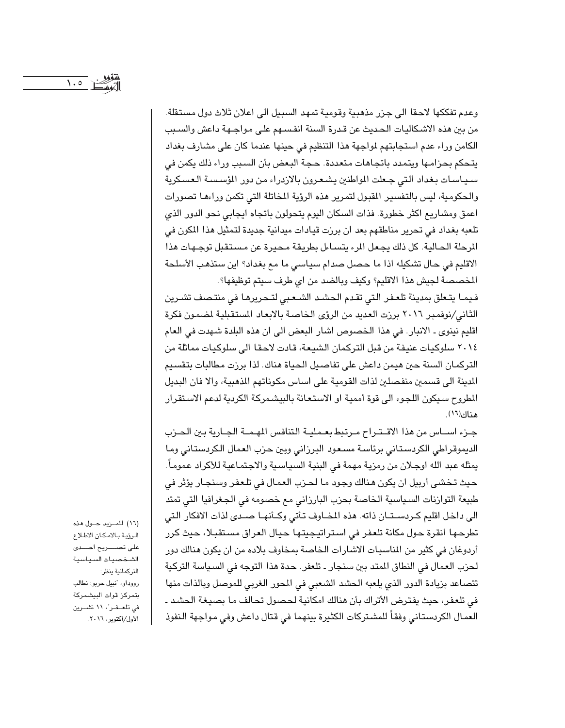$\bigwedge$   $\circ$   $\bigwedge$ 

وعدم تفككها لاحقا الى جزر مذهبية وقومية تمهد السبيل الى اعلان ثلاث دول مستقلة. من بين هذه الاشكاليات الحديث عن قدرة السنة انفسـهم علـى مواجـهـة داعش والسـبب الكامن وراء عدم استجابتهم لمواجهة هذا التنظيم في حينها عندما كان على مشارف بغداد يتحكم بحزامها ويتمدد باتجاهات متعددة. حجة البعض بأن السبب وراء ذلك يكمن في سياسات بغداد التي جعلت المواطنين يشعرون بالازدراء من دور المؤسسة العسكرية والحكومية، ليس بالتفسير المقبول لتمرير هذه الرؤية المخاتلة التي تكمن وراءها تصورات اعمق ومشاريع اكثر خطورة. فذات السكان اليوم يتحولون باتجاه ايجابي نحو الدور الذي تلعبه بغداد في تحرير مناطقهم بعد ان برزت قيادات ميدانية جديدة لتمثيل هذا المكون في الرحلة الحالية. كل ذلك يجعل المرء يتساءل بطريقة محيرة عن مستقبل توجهات هذا الاقليم في حال تشكيله اذا ما حصل صدام سياسي ما مع بغداد؟ اين ستذهب الأسلحة المخصصة لجيش هذا الاقليم؟ وكيف وبالضد من اي طرف سيتم توظيفها؟.

فيمـا يتـعلق بمدينة تلعـفر التي تقـدم الـحشـد الشـعـبي لتـحريرهـا في منتـصف تشـرين الثاني/نوفمبر ٢٠١٦ برزت العديد من الرؤى الخاصة بالابعاد المستقبلية لضمون فكرة اقليم نينوي ـ الانبار. في هذا الخصوص اشار البعض الى ان هذه البلدة شهدت في العام ٢٠١٤ سلوكيات عنيفة من قبل التركمان الشيعة، قادت لاحقا الى سلوكيات مماثلة من التركمان السنة حين هيمن داعش على تفاصيل الحياة هناك. لذا برزت مطالبات بتقسيم الدينة الى قسمين منفصلين لذات القومية على اساس مكوناتهم الذهبية، والا فان البديل المطروح سيكون اللجوء الى قوة أممية او الاستعانة بالبيشمركة الكردية لدعم الاستقرار هناك(١٦).

جـزء اســاس من هذا الاقــتـراح مـرتبط بعـمليــة التنافس المهـمــة الجـارية بـين الحـزب الديموقراطي الكردستاني برئاسة مسعود البرزاني وبين حزب العمال الكردستاني وما يمثله عبد الله اوجـلان من رمزيـة مهمة في البنيـة السيـاسـية والاجـتمـاعيـة للأكراد عمومـاً . حيث تخشى أربيل ان يكون هنالك وجود ما لحزب العمال في تلعفر وسنجار يؤثر في طبيعة التوازنات السياسية الخاصة بحزب البارزاني مع خصومه في الجغرافيا التي تمتد الى داخل اقليم كـردسـتـان ذاته. هذه المضاوف تأتى وكـأنهـا صـدى لذات الافكار التي تطرحـهـا انقرة حـول مكانة تلعفر في اسـتراتيجيتـهـا حـيـال العراق مسـتقبـلا، حـيث كرر أردوغان في كثير من المناسبات الاشارات الخاصة بمخاوف بلاده من ان يكون هنالك دور لحزب العمال في النطاق المتد بين سنجار ـ تلعفر. حدة هذا التوجه في السياسة التركية تتصاعد بزيادة الدور الذي يلعبه الحشد الشعبي في المحور الغربي للموصل وبالذات منها في تلعفر، حيث يفترض الأتراك بأن هنالك امكانية لحصول تحالف ما بصيغة الحشد ـ العمال الكردستاني وفقاً للمشتركات الكثيرة بينهما في قتال داعش وفي مواجهة النفوذ

(١٦) للمـزيد حـول هذه الرؤية بالامكان الاطلاع الشخصيات السياسية التركمانية ينظر: رووداو، "نبيل حربو: نطالب بتمركز قوات البيشمركة في تلعـفـر"، ١١ تشــرين الأول/أكتوبر، ٢٠١٦.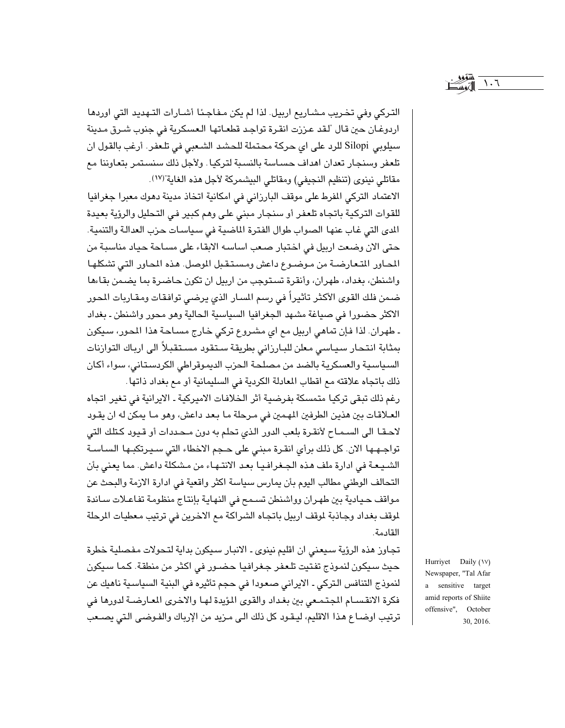$\mathcal{L} \cdot \mathcal{L}$ 

التركي وفي تخريب مشاريع اربيل. لذا لم يكن مفاجئا أشارات التهديد التي اوردها اردوغـان حين قـال "لـقد عـززت انقـرة تواجـد قطعـاتهـا الـعسكرية في جنوب شـرق مـدينة سيلوبي Silopi للرد على اي حركة محتملة للحشد الشعبي في تلعفر. أرغب بالقول ان تلعفر وسنجار تعدان اهداف حسـاسة بالنسبة لتركيا. ولأجل ذلك سنستمر بتعاوننا مع مقاتلي نينوي (تنظيم النجيفي) ومقاتلي البيشمركة لأجل هذه الغاية"(١٧).

الاعتماد التركي المفرط على موقف البارزاني في امكانية اتخاذ مدينة دهوك معبرا جغرافيا للقوات التركية باتجاه تلعفر أو سنجار مبنى على وهم كبير في التحليل والرؤية بعيدة المدى التي غاب عنها الصواب طوال الفترة الماضية في سياسات حزب العدالة والتنمية. حتى الان وضعت اربيل في اختبار صعب اساسه الابقاء على مساحة حياد مناسبة من المحاور المتعارضة من موضوع داعش ومستقبل الموصل. هذه المحاور التي تشكلها واشنطن، بغداد، طهران، وأنقرة تستوجب من اربيل ان تكون حاضرة بما يضمن بقاءها ضمن فلك القوى الأكثر تأثيراً في رسم السـار الذي يرضـي توافقات ومقـاربات المحور الاكثر حضورا في صياغة مشهد الجغرافيا السياسية الحالية وهو محور واشنطن ـ بغداد ۔ طهران. لذا فإن تماهي اربيل مع اي مشروع تركي خارج مساحة هذا المحور، سيكون بمثابة انتحار سياسي معلن للبارزاني بطريقة ستقود مستقبلاً الى ارباك التوازنات السياسية والعسكرية بالضد من مصلحة الحزب الديموقراطي الكردستاني، سواء أكان ذلك باتجاه علاقته مع اقطاب المعادلة الكردية في السليمانية أو مع بغداد ذاتها.

رغم ذلك تبقى تركيا متمسكة بفرضية أثر الخلافات الاميركية ـ الايرانية في تغير اتجاه العلاقات بين هذين الطرفين المهمين في مرحلة ما بعد داعش، وهو ما يمكن له ان يقود لاحقـا الى السـمـاح لأنقـرة بلعب الدور الذي تحلم به دون مـحـددات أو قـيود كـتلك التي تواجهها الان. كل ذلك برأى انقرة مبنى على حجم الاخطاء التي سـيرتكبـها السـاسـة الشيعة في ادارة ملف هذه الجغرافيا بعد الانتهاء من مشكلة داعش. مما يعني بأن التحالف الوطني مطالب اليوم بأن يمارس سياسة اكثر واقعية في ادارة الازمة والبحث عن مواقف حيادية بين طهران وواشنطن تسمح في النهاية بإنتاج منظومة تفاعلات ساندة لموقف بغداد وجاذبة لموقف اربيل باتجاه الشراكة مع الاخرين في ترتيب معطيات المرحلة القادمة.

تجاوز هذه الرؤية سيعني ان اقليم نينوي ـ الانبار سيكون بداية لتحولات مفصلية خطرة حيث سيكون لنموذج تفتيت تلعفر جغرافيا حضور في اكثر من منطقة. كما سيكون لنموذج التنافس التركي ـ الايراني صعودا في حجم تأثيره في البنية السياسية ناهيك عن فكرة الانقسـام المجتمـعي بين بغداد والقوى المؤيدة لهـا والاخرى المعارضـة لدورها في ترتيب اوضـاع هـذا الاقليم، ليـقـود كل ذلك الـى مـزيد من الإرباك والفـوضـى الـتى يصــعب

Hurriyet Daily (\V) Newspaper, "Tal Afar a sensitive target amid reports of Shiite offensive", October 30, 2016.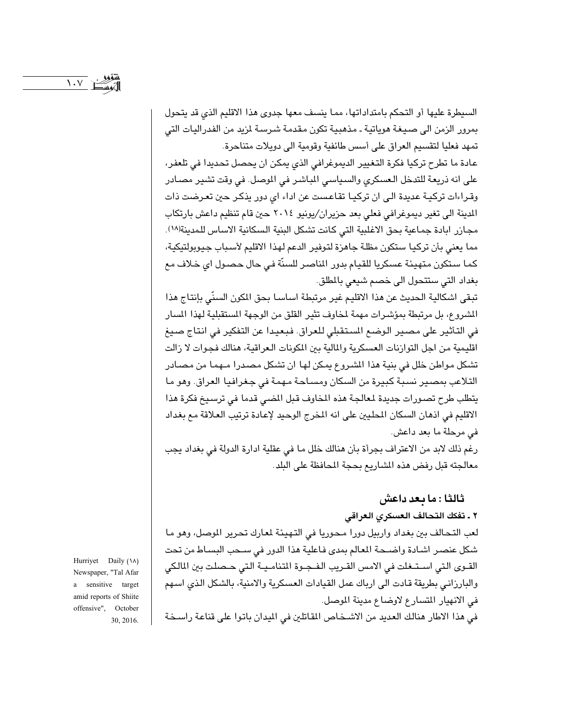السيطرة عليها أو التحكم بامتداداتها، مما ينسف معها جدوى هذا الاقليم الذى قد يتحول بمرور الزمن الى صيغة هوياتية ـ مذهبية تكون مقدمة شرسة لمزيد من الفدراليات التي تمهد فعليا لتقسيم العراق على أسس طائفية وقومية الى دويلات متناحرة.

عادة ما تطرح تركيا فكرة التغيير الديموغرافي الذي يمكن ان يحصل تحديدا في تلعفر، على انه ذريعة للتدخل العسكري والسياسي المباشر في الموصل. في وقت تشير مصـادر وقراءات تركية عديدة الى ان تركيـا تقاعست عن اداء اى دور يذكـر حين تعـرضت ذات المدينة الى تغير ديموغرافي فعلى بعد حزيران/يونيو ٢٠١٤ حين قام تنظيم داعش بارتكاب مجازر ابادة جماعية بحق الاغلبية التي كانت تشكل البنية السكانية الاساس للمدينة(١٨). مما يعني بأن تركيا ستكون مظلة جاهزة لتوفير الدعم لهذا الاقليم لأسباب جيوبولتيكية، كما ستكون متهيئة عسكريا للقيام بدور الماصر للسنّة في حال حصول اي خلاف مع بغداد التي ستتحول الى خصم شيعي بالمطلق.

تبقى اشكالية الحديث عن هذا الاقليم غير مرتبطة اساسا بحق الكون السنّي بإنتاج هذا الشروع، بل مرتبطة بمؤشرات مهمة لمخاوف تثير القلق من الوجهة المستقبلية لهذا المسار في التأثير على مصير الوضع المستقبلي للعراق. فبعيدا عن التفكير في انتاج صيغ اقليمية من اجل التوازنات العسكرية والمالية بين المكونات العراقية، هنالك فجوات لا زالت تشكل مواطن خلل في بنية هذا المشروع يمكن لها ان تشكل مصدرا مـهمـا من مصـادر التلاعب بمصير نسبة كبيرة من السكان ومساحة مهمة في جغرافيا العراق. وهو ما يتطلب طرح تصـورات جديدة لمعالجة هذه المخاوف قبل المضى قدما في ترسـيخ فكرة هذا الاقليم في اذهان السكان المحليين على انه المخرج الوحيد لإعادة ترتيب العلاقة مع بغداد في مرحلة ما بعد داعش.

رغم ذلك لابد من الاعتراف بجرأة بأن هنالك خلل ما في عقلية ادارة الدولة في بغداد يجب معالجته قبل رفض هذه الشاريع بحجة المحافظة على البلد.

## ثالثا : ما بعد داعش

#### ٢ ـ تفكك التحالف العسكرى العراقي

لعب التحالف بين بغداد واربيل دورا محوريا في التهيئة لمعارك تحرير الموصل، وهو ما شكل عنصر اشادة واضحة المعالم بمدى فاعلية هذا الدور في سـحب البسـاط من تحت القـوى التي اسـتـغلت في الامس القـريب الفـجـوة المتنامـيـة التي حـصلت بين المالكي والبارزاني بطريقة قادت الى ارباك عمل القيادات العسكرية والامنية، بالشكل الذي اسهم في الانهيار المتسارع لاوضاع مدينة الموصل.

Hurriyet Daily (\A) Newspaper, "Tal Afar a sensitive target amid reports of Shiite offensive", October 30, 2016.

في هذا الاطار هنالك العديد من الاشـخـاص المقاتلين في الميدان باتـوا على قناعة راسـخة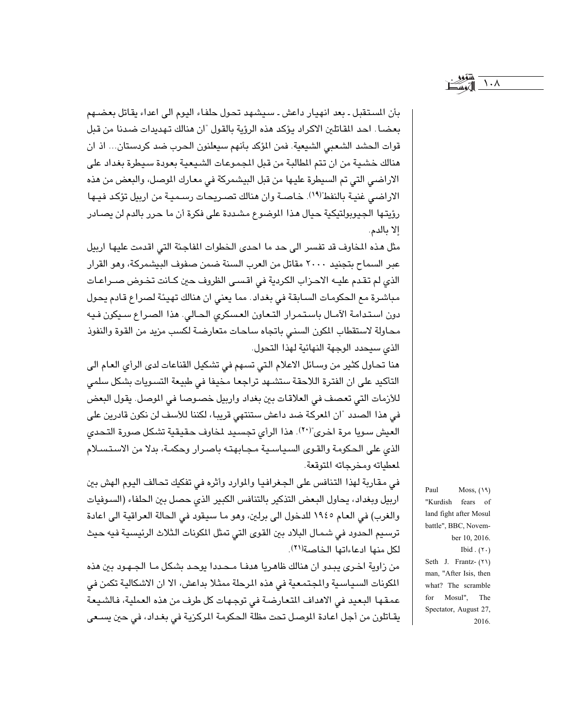بأن المستقبل ـ بعد انهيار داعش ـ سيشهد تحول حلفاء اليوم الى اعداء يقاتل بعضـهم بعضـا. احد المقاتلين الاكراد يؤكد هذه الرؤية بالقول "ان هنالك تهديدات ضدنا من قبل قوات الحشد الشعبي الشيعية. فمن المؤكد بأنهم سيعلنون الحرب ضد كردستان... اذ ان هنالك خشية من ان تتم المطالبة من قبل المجموعات الشيعية بعودة سيطرة بغداد على الاراضي التي تم السيطرة عليها من قبل البيشمركة في معارك الموصل، والبعض من هذه الاراضي غنية بالنفط"(١٩). خاصـة وان هنالك تصـريحات رسـميـة من اربيل تؤكد فيـها رؤيتها الجيوبولتيكية حيال هذا الموضوع مشددة على فكرة أن ما حرر بالدم لن يصادر إلا بالدم.

مثل هذه المخاوف قد تفسر الى حد ما احدى الخطوات المفاجئة التي اقدمت عليها اربيل عبر السماح بتجنيد ٢٠٠٠ مقاتل من العرب السنة ضمن صفوف البيشمركة، وهو القرار الذي لم تقدم عليــه الاحـزاب الكردية في اقســى الظروف حين كـانت تخـوض صــراعـات مباشرة مع الحكومات السابقة في بغداد. مما يعني ان هنالك تهيئة لصراع قادم يحول دون استدامة الآمال باستمرار التعاون العسكرى الحالي. هذا الصراع سيكون فيه محاولة لاستقطاب المكرن السنى باتجاه ساحات متعارضة لكسب مزيد من القوة والنفوذ الذي سيحدد الوجهة النهائية لهذا التحول.

هنا تحاول كثير من وسـائل الاعلام التي تسـهم في تشكيل القناعات لدى الرأى العـام الى التأكيد على ان الفترة اللاحقة ستشـهد تراجعـا مخيفا في طبيعة التسـويات بشكل سلمى للأزمات التي تعصف في العلاقات بين بغداد واربيل خصوصا في الموصل. يقول البعض في هذا الصدد "ان المعركة ضد داعش ستنتهي قريبا، لكننا للأسف لن نكون قادرين على العيش سويا مرة اخرى"(٢٠). هذا الرأى تجسيد لخاوف حقيقية تشكل صورة التحدى الذي على الحكومة والقوى السياسية مجابهته باصرار وحكمة، بدلا من الاستسلام لمعطياته ومخرجاته المتوقعة.

في مقاربة لهذا التنافس على الجغرافيا والموارد وأثره في تفكيك تحالف اليوم الهش بين اربيل وبغداد، يحاول البعض التذكير بالتنافس الكبير الذي حصل بين الحلفاء (السوفيات والغرب) في العام ١٩٤٥ للدخول الى برلين، وهو ما سيقود في الحالة العراقية الى اعادة ترسيم الحدود في شمال البلاد بين القوى التي تمثل المكونات الثلاث الرئيسية فيه حيث لكل منها ادعاءاتها الخاصة(٢١).

من زاوية اخرى يبدو ان هنالك ظاهريا هدفـا مـحـددا يوحـد بشكل مـا الجـهـود بين هذه المكونات السياسية والمجتمعية في هذه المرحلة ممثلا بداعش، الا ان الاشكالية تكمن في عمقها البعيد في الاهداف المتعارضة في توجهات كل طرف من هذه العملية، فالشيعة يقـاتلون من أجل اعـادة الموصـل تحت مظلة الحكومـة المركزيـة في بغـداد، في حين يسـعى Paul Moss,  $(19)$ "Kurdish fears of land fight after Mosul battle", BBC, November 10, 2016. Ibid.  $(7 \cdot)$ Seth J. Frantz- (٢١) man, "After Isis, then what? The scramble for Mosul", The Spectator, August 27, 2016.

 $\lambda \cdot \lambda$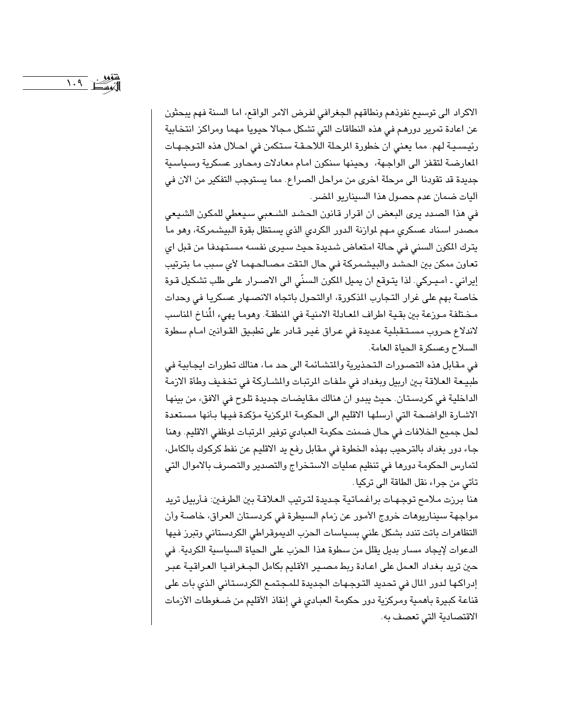الاكراد الى توسيع نفوذهم ونطاقهم الجغرافي لفرض الامر الواقع، اما السنة فهم يبحثون عن اعادة تمرير دورهم في هذه النطاقات التي تشكل مجالا حيويا مهما ومراكز انتخابية رئيسـيـة لهم. مما يعني ان خطورة المرحلة اللاحـقـة سـتكمن في احـلال هذه التـوجـهـات المعارضة لتقفز الى الواجهة، وحينها سنكون امام معادلات ومحاور عسكرية وسياسية جديدة قد تقودنا الى مرحلة اخرى من مراحل الصراع. مما يستوجب التفكير من الان فى آليات ضمان عدم حصول هذا السيناريو المصر.

في هذا الصدد يرى البعض ان اقرار قانون الحشد الشـعبي سيعطي للمكون الشيعي مصدر اسناد عسكري مهم لموازنة الدور الكردي الذي يستظل بقوة البيشمركة، وهو ما يترك الكون السني في حالة امتعاض شديدة حيث سيرى نفسه مستهدفا من قبل اي تعاون ممكن بين الحشد والبيشمركة في حال التقت مصالحهما لأى سبب ما بترتيب إيراني ـ أمـيـركي. لذا يتـوقـع ان يمـيل المكون السنّي الى الاصـرار علـى طلب تشكيل قـوة خاصة بهم على غرار التجارب المذكورة، اوالتحول باتجاه الانصـهار عسكريا في وحدات مختلفة مـوزعة بين بقـية اطراف المعـادلة الامنيـة في المنطقـة. وهومـا يهيء المُناخ المناسب لاندلاع حروب مسـتـقبليـة عـديدة في عـراق غيـر قـادر على تطبـيق القـوانين امـام سطوة السلاح وعسكرة الحياة العامة.

في مقابل هذه التصورات التحذيرية والمتشائمة الى حد ما، هنالك تطورات ايجابية في طبيعة العلاقة بين اربيل وبغداد في ملفات المرتبات والمشاركة في تخفيف وطأة الازمة الداخلية في كردستان. حيث يبدو ان هنالك مقايضات جديدة تلوح في الافق، من بينها الاشارة الواضحة التي أرسلها الاقليم الى الحكومة الركزية مؤكدة فيها بأنها مستعدة لحل جميع الخلافات في حال ضمنت حكومة العبادي توفير المرتبات لموظفي الاقليم. وهنا جاء دور بغداد بالترحيب بهذه الخطوة في مقابل رفع يد الاقليم عن نفط كركوك بالكامل، لتمارس الحكومة دورها في تنظيم عمليات الاستخراج والتصدير والتصرف بالاموال التي تأتي من جراء نقل الطاقة الى تركيا .

هنا برزت ملامح توجهات براغماتية جديدة لترتيب العلاقة بين الطرفين: فأربيل تريد مواجهة سيناريوهات خروج الأمور عن زمام السيطرة في كردستان العراق، خاصة وأن التظاهرات باتت تندد بشكل علنى بسياسات الحزب الديموقراطي الكردستاني وتبرز فيها الدعوات لإيجاد مسار بديل يقلل من سطوة هذا الحزب على الحياة السياسية الكردية. في حين تريد بغداد العمل على اعـادة ربط مصـير الأقليم بكامل الجـغرافـيـا العـراقيـة عبـر إدراكها لدور المال في تحديد التوجهات الجديدة للمجتمع الكردستاني الذي بات على قناعة كبيرة بأهمية ومركزية دور حكومة العبادي في إنقاذ الأقليم من ضغوطات الأزمات الاقتصادية التي تعصف به.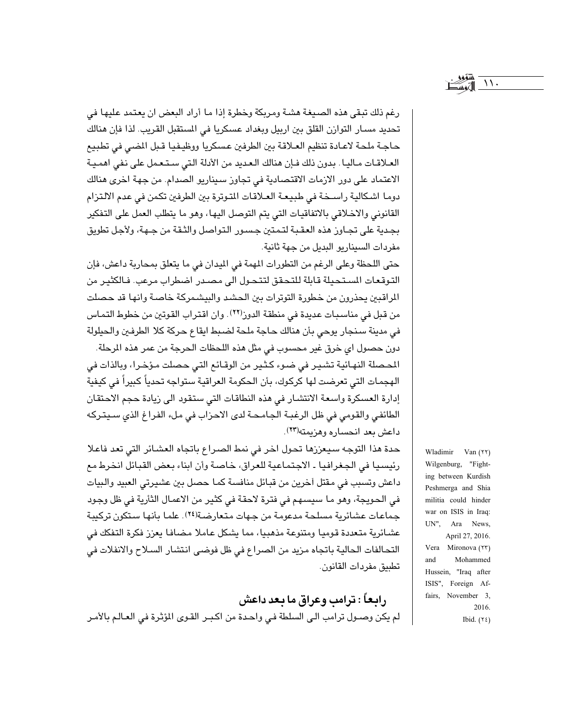رغم ذلك تبقى هذه الصيغة هشـة ومريكة وخطرة إذا مـا أراد البعض ان يعتمد عليها في تحديد مسـار التوازن القلق بين اربيل وبغداد عسكريا في المستقبل القريب. لذا فإن هنالك حاجة ملحة لاعـادة تنظيم العـلاقة بين الطرفين عسكريا ووظيـفيـا قـبل المضي في تطبيع العلاقات مـاليـا . بدون ذلك فـإن هنالك الـعديد من الأدلة التي سـتـعمل على نفي اهمـيـة الاعتماد على دور الازمات الاقتصادية في تجاوز سيناريو الصدام. من جهة اخرى هنالك دوما اشكالية راسـخة في طبيعـة العـلاقات المتوترة بين الطرفين تكمن في عدم الالتزام القانوني والاخلاقي بالاتفاقيات التي يتم التوصل اليها، وهو ما يتطلب العمل على التفكير بجدية على تجـاوز هذه العقـبـة لتـمـتين جـسـور الـتـواصـل والثـقـة من جـهـة، ولأجـل تطويق مفردات السيناريو البديل من جهة ثانية.

حتى اللحظة وعلى الرغم من التطورات المهمة في الميدان في ما يتعلق بمحاربة داعش، فإن التوقعات المستحيلة قابلة للتحقق لتتحول الى مصدر اضطراب مرعب. فالكثير من الراقبين يحذرون من خطورة التوترات بين الحشد والبيشمركة خاصة وانها قد حصلت من قبل في مناسبات عديدة في منطقة الدوز(٢٢). وان اقتراب القوتين من خطوط التماس في مدينة سنجار يوحي بأن هنالك حاجة ملحة لضبط ايقاع حركة كلا الطرفين والحيلولة دون حصول اي خرق غير محسوب في مثل هذه اللحظات الحرجة من عمر هذه المرحلة.

المحصلة النهـائية تشـيـر في ضـوء كـثـير من الوقـائـع التـي حـصلت مـؤخـرا، وبالذات في الهجمات التي تعرضت لها كركوك، بأن الحكومة العراقية ستواجه تحدياً كبيراً في كيفية إدارة العسكرة واسعة الانتشار في هذه النطاقات التي ستقود الى زيادة حجم الاحتقان الطائفي والقومي في ظل الرغبة الجامحة لدى الاحزاب في ملء الفراغ الذي سيتركه داعش بعد انحساره وهزيمته(٢٣).

حدة هذا التوجه سيعززها تحول اخر في نمط الصراع باتجاه العشائر التي تعد فاعلا رئيسيا في الجغرافيا ـ الاجتماعية للعراق، خاصة وأن ابناء بعض القبائل انخرط مع داعش وتسبب في مقتل أخرين من قبائل منافسة كما حصل بين عشيرتي العبيد والبيات في الحويجة، وهو ما سيسهم في فترة لاحقة في كثير من الاعمال الثأرية في ظل وجود جماعات عشائرية مسلحة مدعومة من جهات متعارضة(٢٤). علما بأنها ستكون تركيبة عشائرية متعددة قوميا ومتنوعة مذهبيا، مما يشكل عاملا مضافا يعزز فكرة التفكك في التحالفات الحالية باتجاه مزيد من الصراع في ظل فوضى انتشار السـلاح والانفلات في تطبيق مفردات القانون.

رابعاً : ترامب وعراق ما بعد داعش لم يكن وصـول ترامب الـى السلطة فـى واحـدة من اكـبـر القـوى المؤثرة فى العـالـم بالأمـر

Wladimir Van (٢٢) Wilgenburg, "Fighting between Kurdish Peshmerga and Shia militia could hinder war on ISIS in Iraq: UN", Ara News, April 27, 2016. Vera Mironova (٢٣) Mohammed and Hussein, "Iraq after ISIS", Foreign Affairs, November 3, 2016. Ibid.  $(72)$ 

 $\mathcal{N}$ .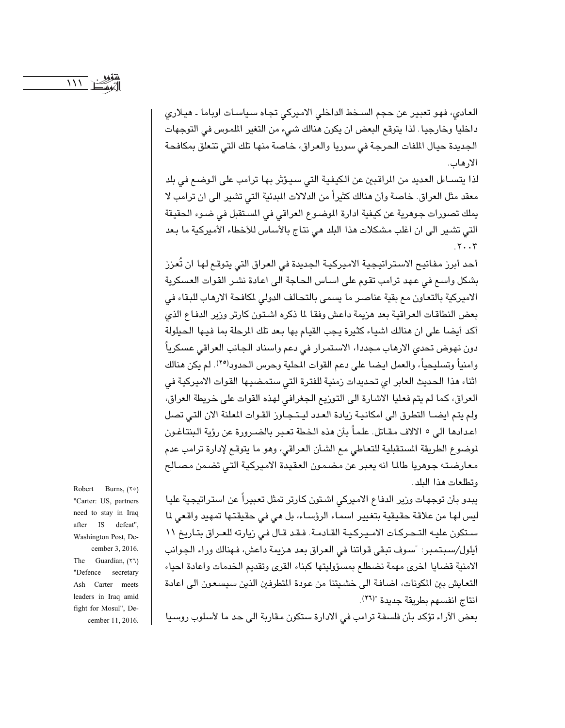العادي، فهو تعبير عن حجم السخط الداخلي الاميركي تجاه سياسات اوباما ـ هيلاري داخليا وخارجيا. لذا يتوقع البعض ان يكون هنالك شيء من التغير الملموس في التوجهات الجديدة حيال الملفات الحرجة فى سوريا والعراق، خاصة منها تلك التى تتعلق بمكافحة الارهاب.

لذا يتسـاءل العديد من المراقبين عن الكيفية التي سيـؤثر بها ترامب على الوضـع في بلد معقد مثل العراق. خاصة وأن هنالك كثيراً من الدلالات المبدئية التي تشير الى ان ترامب لا يملك تصورات جوهرية عن كيفية ادارة الموضوع العراقي في المستقبل في ضوء الحقيقة التي تشير الى ان اغلب مشكلات هذا البلد هي نتاج بالأساس للأخطاء الأميركية ما بعد  $.7.7$ 

أحد أبرز مفاتيح الاستراتيجية الاميركية الجديدة في العراق التي يتوقع لها ان تُعزز بشكل واسع في عهد ترامب تقوم على اسـاس الحـاجة الى اعـادة نشـر القوات العسكرية الاميركية بالتعاون مع بقية عناصر ما يسمى بالتحالف الدولي لكافحة الارهاب للبقاء في بعض النطاقات العراقية بعد هزيمة داعش وفقا لما ذكره اشتون كارتر وزير الدفاع الذى أكد أيضا على ان هنالك اشياء كثيرة يجب القيام بها بعد تلك الرحلة بما فيها الحيلولة دون نهوض تحدي الارهاب مجددا، الاستمرار في دعم واسناد الجانب العراقي عسكرياً وامنياً وتسليحياً، والعمل ايضـا على دعم القوات المحلية وحرس الـحدود(٢٥). لم يكن هنالك اثناء هذا الحديث العابر اي تحديدات زمنية للفترة التي ستمضيها القوات الاميركية في العراق، كما لم يتم فعليا الاشارة الى التوزيع الجغرافي لهذه القوات على خريطة العراق، ولم يتم ايضــا التطرق الى امكانيـة زيادة العـدد ليـتـجـاوز القـوات المعلنة الان التـى تصل اعدادها الى ٥ الالاف مقـاتل. علماً بأن هذه الخطة تعبر بالضـرورة عن رؤية البنتاغـون لموضوع الطريقة المستقبلية للتعاطي مع الشأن العراقي، وهو ما يتوقع لإدارة ترامب عدم معارضته جوهريا طالما انه يعبر عن مضمون العقيدة الاميركية التي تضمن مصالح وتطلعات هذا البلد.

يبدو بأن توجهات وزير الدفاع الاميركي اشتون كارتر تمثل تعبيراً عن استراتيجية عليا ليس لها من علاقة حقيقية بتغيير اسماء الرؤساء، بل هي في حقيقتها تمهيد واقعى لما ستكون عليه التحركات الاميركية القادمة. فقد قال في زيارته للعراق بتاريخ ١١ أيلول/سبتمبر: "سوف تبقى قواتنا في العراق بعد هزيمة داعش، فهنالك وراء الجوانب الامنية قضايا اخرى مهمة نضطلع بمسؤوليتها كبناء القرى وتقديم الخدمات واعادة احياء التعايش بين المكونات، اضافة الى خشيتنا من عودة المتطرفين الذين سيسعون الى اعادة انتاج انفسهم بطريقة جديدة "(٢٦).

Robert Burns, (۲۰) "Carter: US, partners need to stay in Iraq after IS defeat", Washington Post, December 3, 2016. The Guardian,  $(51)$ "Defence secretary Ash Carter meets leaders in Iraq amid fight for Mosul", December 11, 2016.

بعض الآراء تؤكد بأن فلسفة ترامب في الادارة ستكون مقاربة الى حد ما لأسلوب روسيا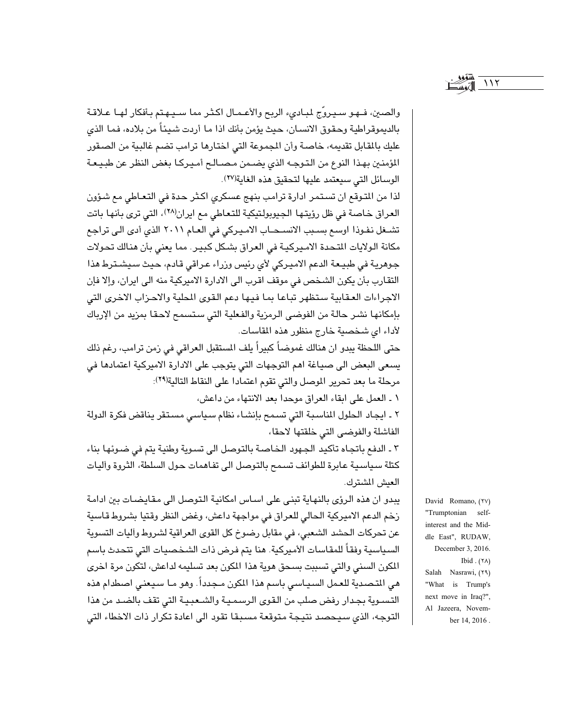والصين، فهو سيروِّج لمبادىء الربح والأعمال اكثر مما سـيـهـتم بأفكار لهـا عـلاقـة بالديموقراطية وحقوق الانسـان، حيث يؤمن بأنك اذا مـا أردت شـيئـاً من بلاده، فمـا الذي عليك بالمقابل تقديمه، خاصة وأن المجموعة التي اختارها ترامب تضم غالبية من الصقور المؤمنين بهذا النوع من التوجه الذي يضمن مصـالـع أمـيـركـا بغض النظر عن طبيـعة الوسائل التي سيعتمد عليها لتحقيق هذه الغاية(٢٧).

لذا من المتوقع ان تستمر ادارة ترامب بنهج عسكرى اكثر حدة في التعاطي مع شؤون العراق خاصة في ظل رؤيتها الجيوبولتيكية للتعاطي مع ايران(٢٨)، التي ترى بأنها باتت تشـغل نفـوذا اوسـع بسـبب الانسـحـاب الامـيـركي في العـام ٢٠١١ الذي أدى الـي تراجـع مكانة الولايات المتحدة الاميركية في العراق بشكل كبير. مما يعني بأن هنالك تحولات جوهرية في طبيعة الدعم الاميركي لأي رئيس وزراء عراقي قادم، حيث سيشترط هذا التقارب بأن يكون الشخص في موقف اقرب الى الادارة الاميركية منه الى ايران، وإلا فإن الاجراءات العقابية ستظهر تباعا بما فيها دعم القوى المطية والاحزاب الاخرى التى بإمكانها نشر حالة من الفوضى الرمزية والفعلية التي ستسمح لاحقا بمزيد من الإرباك لأداء اي شخصية خارج منظور هذه المقاسات.

حتى اللحظة يبدو ان هنالك غموضاً كبيراً يلف المستقبل العراقي في زمن ترامب، رغم ذلك يسعى البعض الى صياغة اهم التوجهات التي يتوجب على الادارة الاميركية اعتمادها في مرحلة ما بعد تحرير الموصل والتي تقوم اعتمادا على النقاط التالية(٢٩):

١ ـ العمل على ابقاء العراق موحدا بعد الانتهاء من داعش،

٢ ـ ايجاد الحلول المناسبة التي تسمح بإنشاء نظام سياسي مستقر يناقض فكرة الدولة الفاشلة والفوضى التى خلقتها لاحقا،

٢ ـ الدفع باتجاه تأكيد الجهود الخاصة بالتوصل الى تسوية وطنية يتم في ضوئها بناء كتلة سياسية عابرة للطوائف تسمح بالتوصل الى تفاهمات حول السلطة، الثروة وآليات العيش الشترك.

يبدو ان هذه الرؤى بالنهاية تبنى على اساس امكانية التوصل الى مقايضات بين ادامة زخم الدعم الاميركية الحالي للعراق في مواجهة داعش، وغض النظر وقتيا بشروط قاسية عن تحركات الحشد الشعبي، في مقابل رضوخ كل القوى العراقية لشروط وآليات التسوية السياسية وفقاً للمقاسات الأميركية. هنا يتم فرض ذات الشخصيات التي تتحدث باسم المكون السنى والتي تسببت بسحق هوية هذا المكون بعد تسليمه لداعش، لتكون مرة اخرى هي التصدية للعمل السياسي باسم هذا المكون مـجدداً. وهو مـا سيعني اصطدام هذه التسىوية بجدار رفض صلب من القوى الرسمية والشعبية التي تقف بالضد من هذا التوجه، الذي سيحصد نتيجة متوقعة مسبقا تقود الى اعادة تكرار ذات الاخطاء التي

David Romano, (٢٧) "Trumptonian selfinterest and the Middle East", RUDAW, December 3, 2016. Ibid.  $(Y \wedge)$ Salah Nasrawi, (٢٩) "What is Trump's next move in Iraq?", Al Jazeera, November 14, 2016.

 $\sqrt{11}$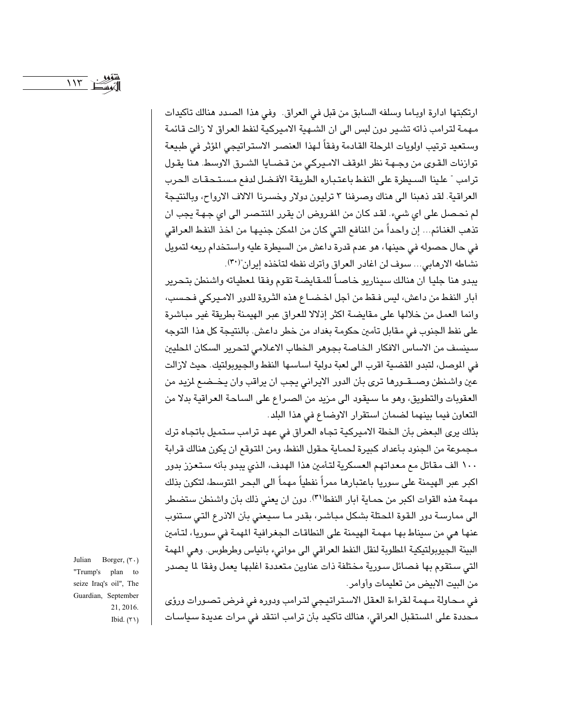ارتكبتها ادارة اوباما وسلفه السابق من قبل في العراق. وفي هذا الصدد هنالك تأكيدات مهمة لترامب ذاته تشير دون لبس الى ان الشـهية الاميركية لنفط العراق لا زالت قائمة وستعيد ترتيب اولويات المرحلة القادمة وفقاً لـهذا العنصـر الاستراتيجي المؤثر في طبيعة توازنات القوى من وجهة نظر الموقف الاميركي من قضايا الشرق الاوسط. هنا يقول ترامب " علينا السيطرة على النفط باعتباره الطريقة الأفضل لدفع مستحقات الحرب العراقية. لقد ذهبنا الى هناك وصرفنا ٣ ترليون دولار وخسرنا الالاف الارواح، وبالنتيجة لم نحصل على اي شيء. لقد كان من المفروض ان يقرر المنتصر الى اي جهة يجب ان تذهب الغنائم... إن واحداً من المنافع التي كان من المكن جنيها من اخذ النفط العراقي في حال حصوله في حينها، هو عدم قدرة داعش من السيطرة عليه واستخدام ريعه لتمويل نشاطه الارهابي... سوف لن اغادر العراق وأترك نفطه لتأخذه إيران"(٣٠).

يبدو هنا جليا ان هنالك سيناريو خاصاً للمقايضة تقوم وفقا لمعطياته واشنطن بتحرير آبار النفط من داعش، ليس فـقط من أجل اخـضــاع هذه الثـروة للدور الامـيركـى فـحـسب، وانما العمل من خلالها على مقايضة اكثر إذلالا للعراق عبر الهيمنة بطريقة غير مباشرة على نفط الجنوب في مقابل تأمين حكومة بغداد من خطر داعش. بالنتيجة كل هذا التوجه سينسف من الاساس الافكار الخاصة بجوهر الخطاب الاعلامي لتحرير السكان المطيين في الموصل، لتبدو القضية اقرب الى لعبة دولية اساسها النفط والجيوبولتيك. حيث لازالت عين واشنطن وصـــقــورهـا ترى بأن الدور الايراني يجب ان يراقب وان يـخــضـع لمزيد من العقوبات والتطويق، وهو ما سيقود الى مزيد من الصراع على الساحة العراقية بدلا من التعاون فيما بينهما لضمان استقرار الاوضاع في هذا البلد.

بذلك يرى البعض بأن الخطة الاميركية تجاه العراق في عهد ترامب ستميل باتجاه ترك مجموعة من الجنود بأعداد كبيرة لحماية حقول النفط، ومن المتوقع ان يكون هنالك قرابة ١٠٠ الف مقاتل مع معداتهم العسكرية لتأمين هذا الهدف، الذي يبدو بأنه ستعزز بدور اكبر عبر الهيمنة على سوريا باعتبارها ممراً نفطياً مهماً الى البحر المتوسط، لتكون بذلك مهمة هذه القوات اكبر من حماية أبار النفط (٣١). دون ان يعني ذلك بأن واشنطن ستضطر الى ممارسة دور القوة المحتلة بشكل مباشر، بقدر ما سيعنى بأن الاذرع التي ستنوب عنها هي من سيناط بها مهمة الهيمنة على النطاقات الجغرافية المهمة في سوريا، لتأمين البيئة الجيوبولتيكية المطلوبة لنقل النفط العراقي الى موانيء بانياس وطرطوس. وهي المهمة التي ستقوم بها فصائل سورية مختلفة ذات عناوين متعددة اغلبها يعمل وفقا لما يصدر من البيت الابيض من تعليمات وأوامر.

في محاولة مـهمة لـقراءة العقل الاستراتيجي لترامب ودوره في فرض تصورات ورؤى محددة على المستقبل العراقي، هنالك تأكيد بأن ترامب انتقد في مرات عديدة سياسات

Julian Borger, (٣٠) "Trump's plan to seize Iraq's oil", The Guardian, September 21, 2016. Ibid.  $(Y \setminus )$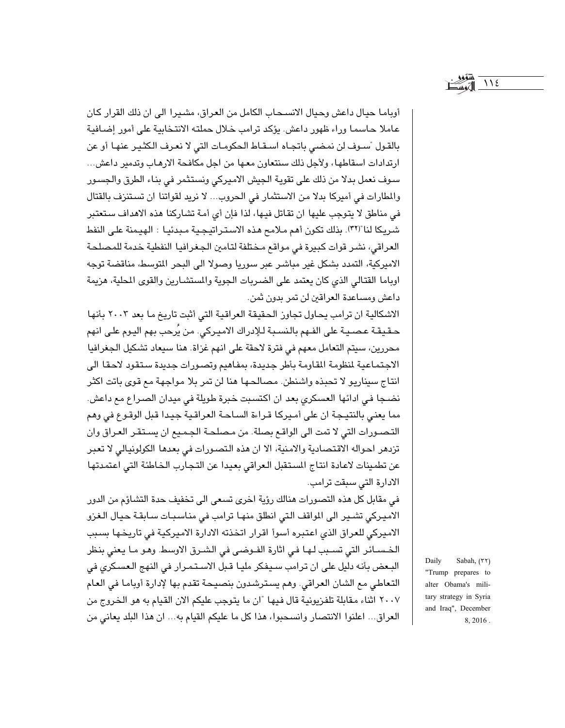أوباما حيال داعش وحيال الانسـحـاب الكامل من العراق، مشـيرا الى ان ذلك القرار كان عاملا حاسما وراء ظهور داعش. يؤكد ترامب خلال حملته الانتخابية على أمور إضافية بالقول "سـوف لن نمضـى باتجـاه اسـقـاط الـحكومـات التي لا نعـرف الكثـيـر عنهـا أو عن ارتدادات اسقاطها، ولأجل ذلك سنتعاون معها من اجل مكافحة الارهاب وتدمير داعش... سوف نعمل بدلا من ذلك على تقوية الجيش الاميركي ونستثمر في بناء الطرق والجسور والمطارات في أميركا بدلا من الاستثمار في الحروب... لا نريد لقواتنا ان تستنزف بالقتال في مناطق لا يتوجب عليها ان تقاتل فيها، لذا فإن أي أمة تشاركنا هذه الاهداف ستعتبر شريكا لنا"(٣٢). بذلك تكون أهم ملامح هذه الاستراتيجية مبدئيا : الهيمنة على النفط العراقي، نشر قوات كبيرة في مواقع مختلفة لتامين الجغرافيا النفطية خدمة للمصلحة الاميركية، التمدد بشكل غير مباشر عبر سوريا وصولا الى البحر المتوسط، مناقضة توجه اوباما القتالي الذي كان يعتمد على الضربات الجوية والمستشارين والقوى المحلية، هزيمة داعش ومساعدة العراقين لن تمر بدون ثمن.

الاشكالية ان ترامب يحاول تجاوز الحقيقة العراقية التي أثبت تاريخ ما بعد ٢٠٠٢ بأنها حـقـيقـة عـصـيـة على الفـهم بالـنسـبـة لـلإدراك الامـيـركي. من يُرحب بهم اليـوم علـي انهم محررين، سيتم التعامل معهم في فترة لاحقة على انهم غزاة. هنا سيعاد تشكيل الجغرافيا الاجتماعية لنظومة القاومة بأطر جديدة، بمفاهيم وتصورات جديدة ستقود لاحقا الى انتاج سيناريو لا تحبذه واشنطن. مصالحها هنا لن تمر بلا مواجهة مع قوى باتت اكثر نضجا في ادائها العسكري بعد ان اكتسبت خبرة طويلة في ميدان الصراع مع داعش. مما يعني بالنتيجة ان على أميركا قراءة الساحة العراقية جيدا قبل الوقوع في وهم التصورات التي لا تمت الى الواقع بصلة. من مصلحة الجميع ان يستقر العراق وان تزدهر احواله الاقتصادية والامنية، الا ان هذه التصورات في بعدها الكولونيالي لا تعبر عن تطمينات لاعادة انتاج المستقبل العراقي بعيدا عن التجارب الخاطئة التي اعتمدتها الادارة التى سبقت ترامب.

في مقابل كل هذه التصورات هنالك رؤية اخرى تسعى الى تخفيف حدة التشاؤم من الدور الاميركي تشير الى المواقف التي انطلق منها ترامب في مناسبات سابقة حيال الغزو الاميركي للعراق الذي اعتبره أسوأ اقرار اتخذته الادارة الاميركية في تاريخها بسبب الخسبائر التي تسبب لها في اثارة الفـوضـي في الشـرق الاوسط. وهـو مـا يعني بنظر البعض بأنه دليل على ان ترامب سيفكر مليا قبل الاستمرار في النهج العسكري في التعاطي مع الشان العراقي. وهم يسترشدون بنصيحة تقدم بها لإدارة أوباما في العام ٢٠٠٧ اثناء مقابلة تلفزيونية قال فيها "ان ما يتوجب عليكم الان القيام به هو الخروج من العراق... اعلنوا الانتصار وانسحبوا، هذا كل ما عليكم القيام به... ان هذا البلد يعاني من

Daily Sabah, (٢٢) "Trump prepares to alter Obama's military strategy in Syria and Iraq", December 8, 2016.

 $\bigwedge$   $\bigwedge$   $\bigtriangleup$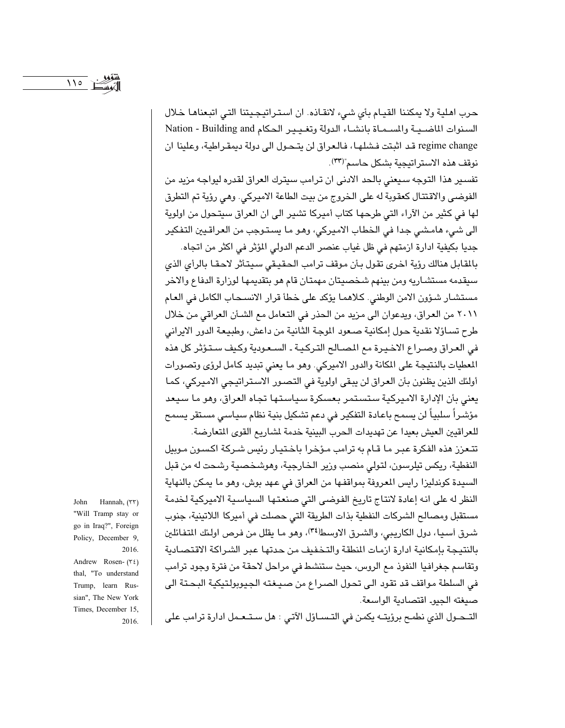حرب اهلية ولا يمكننا القيام بأي شيء لانقاذه. ان استراتيجيتنا التي اتبعناها خلال السنوات الماضية والمسماة بانشاء الدولة وتغيير الحكام Nation - Building and regime change قد اثبتت فشلها، فالعراق لن يتحول الى دولة ديمقراطية، وعلينا ان نوقف هذه الاستراتيجية بشكل حاسم"(٣٣).

تفسير هذا التوجه سيعنى بالحد الادنى ان ترامب سيترك العراق لقدره ليواجه مزيد من الفوضى والاقتتال كعقوبة له على الخروج من بيت الطاعة الاميركي. وهي رؤية تم التطرق لها في كثير من الآراء التي طرحها كتاب أميركا تشير الى ان العراق سيتحول من اولوية الى شيء هامشي جدا في الخطاب الاميركي، وهو ما يستوجب من العراقيين التفكير جديا بكيفية ادارة ازمتهم في ظل غياب عنصر الدعم الدولي المؤثر في اكثر من اتجاه.

بالقابل هنالك رؤية اخرى تقول بأن موقف ترامب الحقيقى سيتأثر لاحقا بالرأى الذى سيقدمه مستشاريه ومن بينهم شخصيتان مهمتان قام هو بتقديمها لوزارة الدفاع والاخر مستشار شؤون الامن الوطني. كلاهما يؤكد على خطأ قرار الانسـحاب الكامل في العام ٢٠١١ من العراق، ويدعوان الى مزيد من الحذر في التعامل مع الشئن العراقي من خلال طرح تسـاؤلا نقدية حول إمكانية صـعود الموجة الثانية من داعش، وطبيعة الدور الايراني في العراق وصراع الاخيرة مع المصالح التركية ـ السعودية وكيف ستؤثر كل هذه المعطيات بالنتيجة على المكانة والدور الاميركي. وهو ما يعني تبديد كامل لرؤى وتصورات أولئك الذين يظنون بأن العراق لن يبقى اولوية في التصور الاستراتيجي الاميركي، كما يعنى بأن الإدارة الاميركية ستستمر بعسكرة سياستها تجاه العراق، وهو ما سيعد مؤشراً سلبياً لن يسمح باعادة التفكير في دعم تشكيل بنية نظام سياسي مستقر يسمح للعراقيين العيش بعيدا عن تهديدات الحرب البينية خدمة لشاريع القوى المتعارضة.

تتعزز هذه الفكرة عبر ما قـام به ترامب مـؤخرا باخـتيـار رئيس شـركة اكسـون مـوبيل النفطية، ريكس تيلرسون، لتولى منصب وزير الخارجية، وهوشخصية رشحت له من قبل السيدة كوندليزا رايس المعروفة بمواقفها من العراق في عهد بوش، وهو ما يمكن بالنهاية النظر له على انه إعادة لانتاج تاريخ الفوضى التي صنعتها السياسية الاميركية لخدمة مستقبل ومصالح الشركات النفطية بذات الطريقة التى حصلت فى أميركا اللاتينية، جنوب شرق أسبا، دول الكاريبي، والشرق الاوسط(٣٤)، وهو ما يقلل من فرص اولئك المتفائلين بالنتيجة بإمكانية ادارة ازمات المنطقة والتخفيف من حدتها عبر الشراكة الاقتصادية وتقاسم جغرافيا النفوذ مع الروس، حيث ستنشط في مراحل لاحقة من فترة وجود ترامب في السلطة مواقف قد تقود الى تحول الصراع من صيغته الجيوبولتيكية البحتة الى صيغته الجيو. اقتصادية الواسعة.

التــحـول الذي نطمـح برؤيتــه يكمـن في التـســاؤل الآتـي : هل سـتـعـمل ادارة ترامب على

John Hannah, (٣٣) "Will Tramp stay or go in Iraq?", Foreign Policy, December 9, 2016 Andrew Rosen- (٣٤) thal, "To understand Trump, learn Russian", The New York Times, December 15, 2016.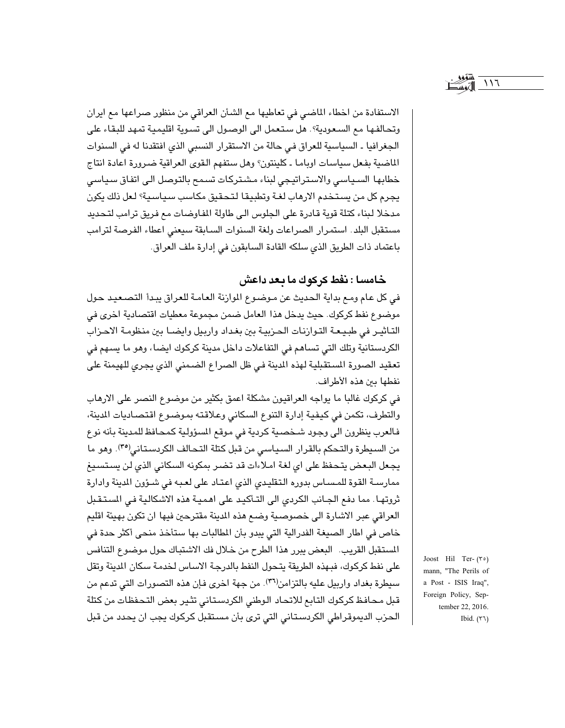$\frac{1}{2}$ 

الاستفادة من اخطاء الماضي في تعاطيها مع الشأن العراقي من منظور صراعها مع ايران وتحالفها مع السعودية؟. هل ستعمل الى الوصول الى تسوية اقليمية تمهد للبقاء على الجغرافيا ـ السياسية للعراق في حالة من الاستقرار النسبي الذي افتقدنا له في السنوات الماضية بفعل سياسات اوباما ـ كلينتون؟ وهل ستفهم القوى العراقية ضرورة اعادة انتاج خطابها السياسي والاستراتيجي لبناء مشتركات تسمح بالتوصل الى اتفاق سياسي يجرم كل من يستخدم الارهاب لغـة وتطبيقا لتحقيق مكاسب سياسية؟ لـعل ذلك يكون مدخلا لبناء كتلة قوية قادرة على الجلوس الى طاولة المفاوضات مع فريق ترامب لتحديد مستقبل البلد. استمرار الصراعات ولغة السنوات السابقة سيعنى اعطاء الفرصة لترامب باعتماد ذات الطريق الذي سلكه القادة السابقون في إدارة ملف العراق.

## خامسا : نفط كركوك ما يعد داعش

في كل عام ومع بداية الحديث عن موضوع الموازنة العامة للعراق يبدأ التصعيد حول موضوع نفط كركوك. حيث يدخل هذا العامل ضمن مجموعة معطيات اقتصادية اخرى في التـاثيـر في طبـيـعـة التـوازنـات الـحـزبيـة بين بغـداد واربيل وايضـا بين منظومـة الاحـزاب الكردستانية وتلك التي تساهم في التفاعلات داخل مدينة كركوك ايضا، وهو ما يسهم في تعقيد الصورة المستقبلية لهذه المدينة في ظل الصراع الضمني الذي يجرى للهيمنة على نفطها بين هذه الأطراف.

في كركوك غالبا ما يواجه العراقيون مشكلة اعمق بكثير من موضوع النصر على الارهاب والتطرف، تكمن في كيفية إدارة التنوع السكاني وعلاقته بموضوع اقتصاديات المدينة، فالعرب ينظرون الى وجود شخصية كردية في موقع المسؤولية كمحافظ للمدينة بأنه نوع من السيطرة والتحكم بالقرار السياسي من قبل كتلة التحالف الكردستاني(٣٥). وهو ما يجعل البعض يتحفظ على اي لغة املاءات قد تضر بمكونه السكاني الذي لن يستسيغ ممارسة القوة للمساس بدوره التقليدي الذي اعتاد على لعبه في شـؤون المدينة وادارة ثروتها. مما دفع الجانب الكردى الى التأكيد على اهمية هذه الاشكالية في المستقبل العراقي عبر الاشارة الى خصوصية وضع هذه الدينة مقترحين فيها ان تكون بهيئة اقليم خاص في اطار الصيغة الفدرالية التي يبدو بأن المطالبات بها ستأخذ منحي أكثر حدة في المستقبل القريب. البعض يبرر هذا الطرح من خلال فك الاشتباك حول موضوع التنافس على نفط كركوك، فبهذه الطريقة يتحول النفط بالدرجة الاساس لخدمة سكان الدينة وتقل سيطرة بغداد واربيل عليه بالتزامن(٣٦). من جهة اخرى فإن هذه التصورات التي تدعم من قبل محافظ كركوك التابع للاتحاد الوطني الكردستاني تثير بعض التحفظات من كتلة الحزب الديموقراطي الكردستاني التي ترى بأن مستقبل كركوك يجب ان يحدد من قبل

Joost Hil Ter- $(5)$ mann, "The Perils of a Post - ISIS Iraq", Foreign Policy, September 22, 2016. Ibid.  $(77)$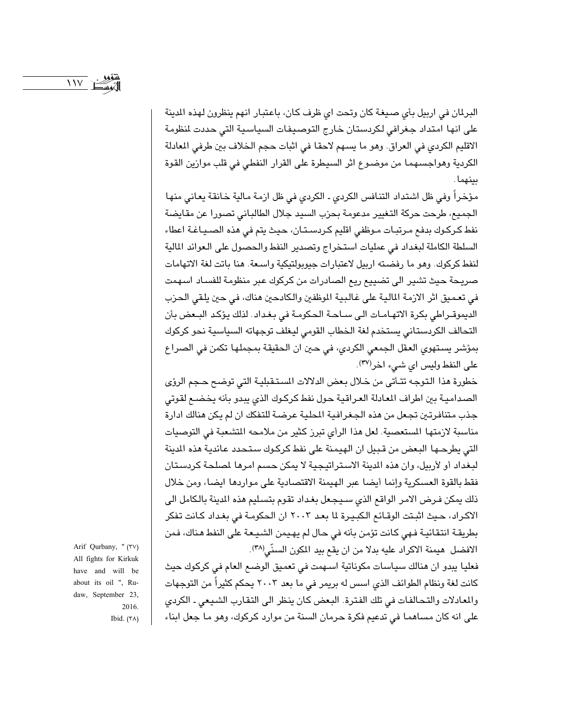البرلمان في اربيل بأي صيغة كان وتحت اي ظرف كان، باعتبار انهم ينظرون لهذه المدينة على انها امتداد جغرافي لكردستان خارج التوصيفات السياسية التي حددت لنظومة الاقليم الكردي في العراق. وهو ما يسهم لاحقا في اثبات حجم الخلاف بين طرفي المعادلة الكردية وهواجسهما من موضوع اثر السيطرة على القرار النفطي في قلب موازين القوة بينهما.

مؤخراً وفي ظل اشتداد التنافس الكردي ـ الكردي في ظل ازمة مالية خانقة يعاني منها الجميع، طرحت حركة التغيير مدعومة بحزب السيد جلال الطالباني تصورا عن مقايضة نفط كركوك بدفع مرتبات موظفى اقليم كردستان، حيث يتم في هذه الصياغة اعطاء السلطة الكاملة لبغداد في عمليات استخراج وتصدير النفط والحصول على العوائد المالية لنفط كركوك. وهو ما رفضته اربيل لاعتبارات جيوبولتيكية واسعة. هنا باتت لغة الاتهامات صريحة حيث تشير الى تضييع ريع الصادرات من كركوك عبر منظومة للفساد اسهمت في تعميق اثر الازمة المالية على غالبية الموظفين والكادحين هناك، في حين يلقي الحزب الديموقراطي بكرة الاتهامات الى ساحة الحكومة في بغداد. لذلك يؤكد البعض بأن التحالف الكردستاني يستخدم لغة الخطاب القومى ليغلف توجهاته السياسية نحو كركوك بمؤشر يستهوى العقل الجمعى الكردى، في حين ان الحقيقة بمجملها تكمن في الصراع على النفط وليس اى شيء اخر(٣٧).

خطورة هذا التوجه تتأتى من خلال بعض الدلالات المستقبلية التي توضح حجم الرؤى الصدامية بين اطراف المعادلة العراقية حول نفط كركوك الذي يبدو بأنه يخضع لقوتى جذب متنافرتين تجعل من هذه الجغرافية المطية عرضة للتفكك ان لم يكن هنالك ادارة مناسبة لازمتها المستعصية. لعل هذا الرأى تبرز كثير من ملامحه التشعبة في التوصيات التي يطرحها البعض من قبيل ان الهيمنة على نفط كركوك ستحدد عائدية هذه الدينة لبغداد أو لأربيل، وإن هذه المدينة الاستراتيجية لا يمكن حسم امرها لمصلحة كربستان فقط بالقوة العسكرية وإنما أيضا عبر الهيمنة الاقتصادية على مواردها ايضا، ومن خلال ذلك يمكن فـرض الامر الواقع الذي سـيـجـعل بغـداد تقوم بتسـليم هذه المدينة بالكامل الى الاكراد، حيث اثبتت الوقائع الكبيرة لما بعد ٢٠٠٣ ان الحكومة في بغداد كانت تفكر بطريقة انتقائية فهي كانت تؤمن بأنه في حال لم يهيمن الشيعة على النفط هناك، فمن الافضل هيمنة الاكراد عليه بدلا من ان يقع بيد المكون السنّي(٣٨).

فعليا يبدو ان هنالك سياسات مكوناتية اسـهمت في تعميق الوضـع العام في كركوك حيث كانت لغة ونظام الطوائف الذي اسس له بريمر في ما بعد ٢٠٠٣ يحكم كثيراً من التوجهات والمعادلات والتحالفات في تلك الفترة. البعض كان ينظر الى التقارب الشيعي ـ الكردي على انه كان مساهما في تدعيم فكرة حرمان السنة من موارد كركوك، وهو ما جعل ابناء

Arif Qurbany, " (\*v) All fights for Kirkuk have and will be about its oil ", Rudaw, September 23, 2016. Ibid.  $(Y \wedge)$